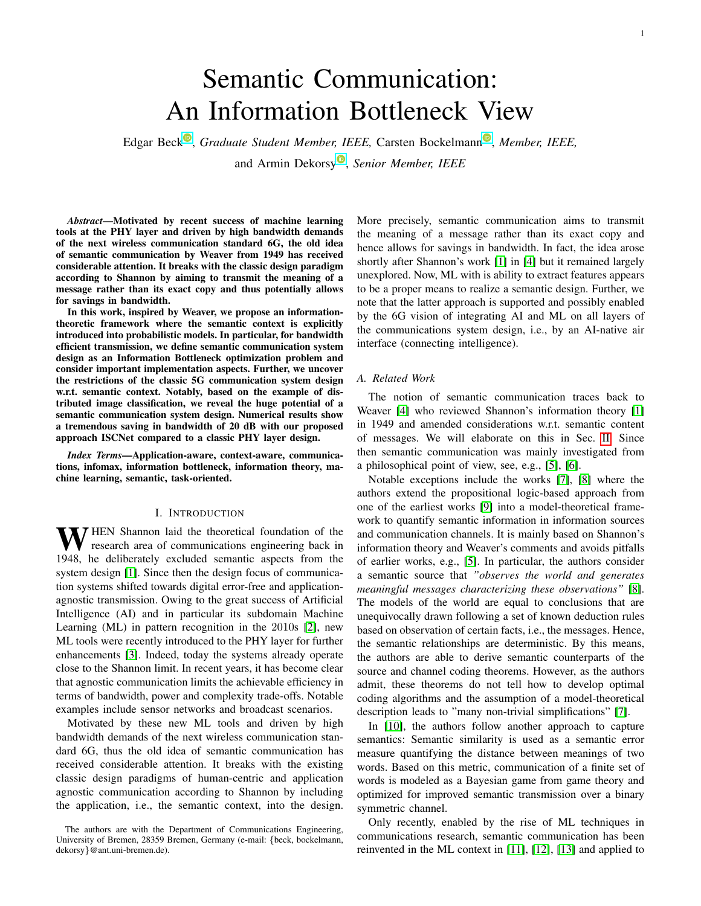# Semantic Communication: An Information Bottleneck View

Edgar Bec[k](https://orcid.org/0000-0003-2213-9727)<sup>®</sup>, *Graduate Stude[n](https://orcid.org/0000-0002-8501-7324)t Member, IEEE*, Carsten Bockelmann<sup>®</sup>, *Member, IEEE*,

and Armin Dekors[y](https://orcid.org/0000-0002-5790-1470)<sup>®</sup>, *Senior Member, IEEE* 

*Abstract*—Motivated by recent success of machine learning tools at the PHY layer and driven by high bandwidth demands of the next wireless communication standard 6G, the old idea of semantic communication by Weaver from 1949 has received considerable attention. It breaks with the classic design paradigm according to Shannon by aiming to transmit the meaning of a message rather than its exact copy and thus potentially allows for savings in bandwidth.

In this work, inspired by Weaver, we propose an informationtheoretic framework where the semantic context is explicitly introduced into probabilistic models. In particular, for bandwidth efficient transmission, we define semantic communication system design as an Information Bottleneck optimization problem and consider important implementation aspects. Further, we uncover the restrictions of the classic 5G communication system design w.r.t. semantic context. Notably, based on the example of distributed image classification, we reveal the huge potential of a semantic communication system design. Numerical results show a tremendous saving in bandwidth of 20 dB with our proposed approach ISCNet compared to a classic PHY layer design.

*Index Terms*—Application-aware, context-aware, communications, infomax, information bottleneck, information theory, machine learning, semantic, task-oriented.

#### I. INTRODUCTION

WHEN Shannon laid the theoretical foundation of the research area of communications engineering back in 1948, he deliberately excluded semantic aspects from the system design [\[1\]](#page-11-0). Since then the design focus of communication systems shifted towards digital error-free and applicationagnostic transmission. Owing to the great success of Artificial Intelligence (AI) and in particular its subdomain Machine Learning (ML) in pattern recognition in the 2010s [\[2\]](#page-11-1), new ML tools were recently introduced to the PHY layer for further enhancements [\[3\]](#page-11-2). Indeed, today the systems already operate close to the Shannon limit. In recent years, it has become clear that agnostic communication limits the achievable efficiency in terms of bandwidth, power and complexity trade-offs. Notable examples include sensor networks and broadcast scenarios.

Motivated by these new ML tools and driven by high bandwidth demands of the next wireless communication standard 6G, thus the old idea of semantic communication has received considerable attention. It breaks with the existing classic design paradigms of human-centric and application agnostic communication according to Shannon by including the application, i.e., the semantic context, into the design. More precisely, semantic communication aims to transmit the meaning of a message rather than its exact copy and hence allows for savings in bandwidth. In fact, the idea arose shortly after Shannon's work [\[1\]](#page-11-0) in [\[4\]](#page-11-3) but it remained largely unexplored. Now, ML with is ability to extract features appears to be a proper means to realize a semantic design. Further, we note that the latter approach is supported and possibly enabled by the 6G vision of integrating AI and ML on all layers of the communications system design, i.e., by an AI-native air interface (connecting intelligence).

## *A. Related Work*

The notion of semantic communication traces back to Weaver [\[4\]](#page-11-3) who reviewed Shannon's information theory [\[1\]](#page-11-0) in 1949 and amended considerations w.r.t. semantic content of messages. We will elaborate on this in Sec. [II.](#page-1-0) Since then semantic communication was mainly investigated from a philosophical point of view, see, e.g., [\[5\]](#page-11-4), [\[6\]](#page-11-5).

Notable exceptions include the works [\[7\]](#page-11-6), [\[8\]](#page-11-7) where the authors extend the propositional logic-based approach from one of the earliest works [\[9\]](#page-11-8) into a model-theoretical framework to quantify semantic information in information sources and communication channels. It is mainly based on Shannon's information theory and Weaver's comments and avoids pitfalls of earlier works, e.g., [\[5\]](#page-11-4). In particular, the authors consider a semantic source that *"observes the world and generates meaningful messages characterizing these observations"* [\[8\]](#page-11-7). The models of the world are equal to conclusions that are unequivocally drawn following a set of known deduction rules based on observation of certain facts, i.e., the messages. Hence, the semantic relationships are deterministic. By this means, the authors are able to derive semantic counterparts of the source and channel coding theorems. However, as the authors admit, these theorems do not tell how to develop optimal coding algorithms and the assumption of a model-theoretical description leads to "many non-trivial simplifications" [\[7\]](#page-11-6).

In [\[10\]](#page-11-9), the authors follow another approach to capture semantics: Semantic similarity is used as a semantic error measure quantifying the distance between meanings of two words. Based on this metric, communication of a finite set of words is modeled as a Bayesian game from game theory and optimized for improved semantic transmission over a binary symmetric channel.

Only recently, enabled by the rise of ML techniques in communications research, semantic communication has been reinvented in the ML context in [\[11\]](#page-11-10), [\[12\]](#page-11-11), [\[13\]](#page-11-12) and applied to

The authors are with the Department of Communications Engineering, University of Bremen, 28359 Bremen, Germany (e-mail: {beck, bockelmann, dekorsy}@ant.uni-bremen.de).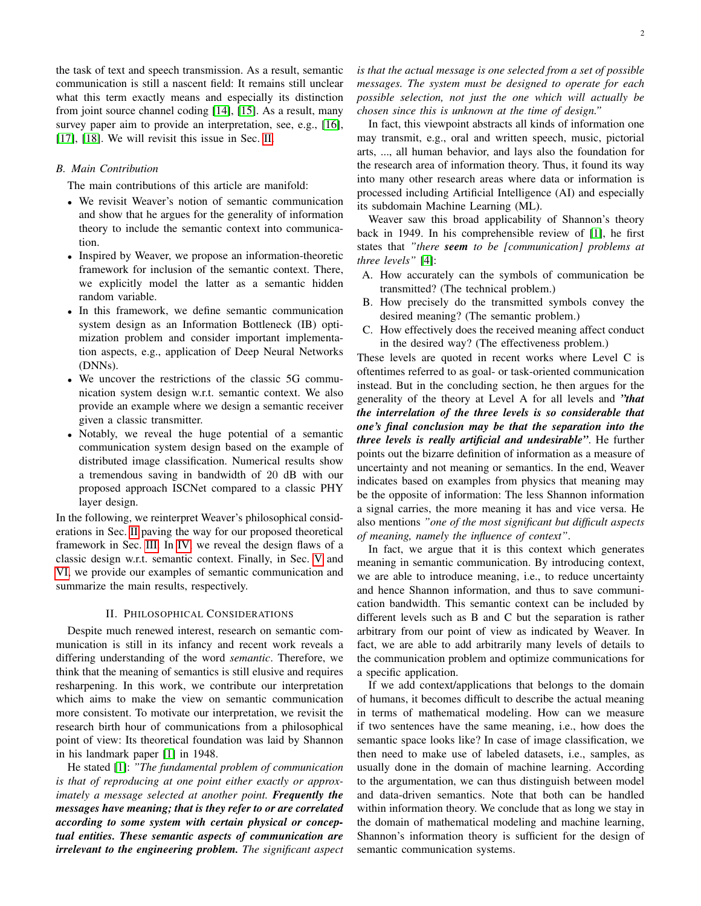the task of text and speech transmission. As a result, semantic communication is still a nascent field: It remains still unclear what this term exactly means and especially its distinction from joint source channel coding [\[14\]](#page-11-13), [\[15\]](#page-11-14). As a result, many survey paper aim to provide an interpretation, see, e.g., [\[16\]](#page-11-15), [\[17\]](#page-11-16), [\[18\]](#page-11-17). We will revisit this issue in Sec. [II.](#page-1-0)

## *B. Main Contribution*

The main contributions of this article are manifold:

- We revisit Weaver's notion of semantic communication and show that he argues for the generality of information theory to include the semantic context into communication.
- Inspired by Weaver, we propose an information-theoretic framework for inclusion of the semantic context. There, we explicitly model the latter as a semantic hidden random variable.
- In this framework, we define semantic communication system design as an Information Bottleneck (IB) optimization problem and consider important implementation aspects, e.g., application of Deep Neural Networks (DNNs).
- We uncover the restrictions of the classic 5G communication system design w.r.t. semantic context. We also provide an example where we design a semantic receiver given a classic transmitter.
- Notably, we reveal the huge potential of a semantic communication system design based on the example of distributed image classification. Numerical results show a tremendous saving in bandwidth of 20 dB with our proposed approach ISCNet compared to a classic PHY layer design.

In the following, we reinterpret Weaver's philosophical considerations in Sec. [II](#page-1-0) paving the way for our proposed theoretical framework in Sec. [III.](#page-2-0) In [IV,](#page-5-0) we reveal the design flaws of a classic design w.r.t. semantic context. Finally, in Sec. [V](#page-6-0) and [VI,](#page-11-18) we provide our examples of semantic communication and summarize the main results, respectively.

## II. PHILOSOPHICAL CONSIDERATIONS

<span id="page-1-0"></span>Despite much renewed interest, research on semantic communication is still in its infancy and recent work reveals a differing understanding of the word *semantic*. Therefore, we think that the meaning of semantics is still elusive and requires resharpening. In this work, we contribute our interpretation which aims to make the view on semantic communication more consistent. To motivate our interpretation, we revisit the research birth hour of communications from a philosophical point of view: Its theoretical foundation was laid by Shannon in his landmark paper [\[1\]](#page-11-0) in 1948.

He stated [\[1\]](#page-11-0): *"The fundamental problem of communication is that of reproducing at one point either exactly or approximately a message selected at another point. Frequently the messages have meaning; that is they refer to or are correlated according to some system with certain physical or conceptual entities. These semantic aspects of communication are irrelevant to the engineering problem. The significant aspect* *is that the actual message is one selected from a set of possible messages. The system must be designed to operate for each possible selection, not just the one which will actually be chosen since this is unknown at the time of design."*

In fact, this viewpoint abstracts all kinds of information one may transmit, e.g., oral and written speech, music, pictorial arts, ..., all human behavior, and lays also the foundation for the research area of information theory. Thus, it found its way into many other research areas where data or information is processed including Artificial Intelligence (AI) and especially its subdomain Machine Learning (ML).

Weaver saw this broad applicability of Shannon's theory back in 1949. In his comprehensible review of [\[1\]](#page-11-0), he first states that *"there seem to be [communication] problems at three levels"* [\[4\]](#page-11-3):

- A. How accurately can the symbols of communication be transmitted? (The technical problem.)
- B. How precisely do the transmitted symbols convey the desired meaning? (The semantic problem.)
- C. How effectively does the received meaning affect conduct in the desired way? (The effectiveness problem.)

These levels are quoted in recent works where Level C is oftentimes referred to as goal- or task-oriented communication instead. But in the concluding section, he then argues for the generality of the theory at Level A for all levels and *"that the interrelation of the three levels is so considerable that one's final conclusion may be that the separation into the three levels is really artificial and undesirable"*. He further points out the bizarre definition of information as a measure of uncertainty and not meaning or semantics. In the end, Weaver indicates based on examples from physics that meaning may be the opposite of information: The less Shannon information a signal carries, the more meaning it has and vice versa. He also mentions *"one of the most significant but difficult aspects of meaning, namely the influence of context"*.

In fact, we argue that it is this context which generates meaning in semantic communication. By introducing context, we are able to introduce meaning, i.e., to reduce uncertainty and hence Shannon information, and thus to save communication bandwidth. This semantic context can be included by different levels such as B and C but the separation is rather arbitrary from our point of view as indicated by Weaver. In fact, we are able to add arbitrarily many levels of details to the communication problem and optimize communications for a specific application.

If we add context/applications that belongs to the domain of humans, it becomes difficult to describe the actual meaning in terms of mathematical modeling. How can we measure if two sentences have the same meaning, i.e., how does the semantic space looks like? In case of image classification, we then need to make use of labeled datasets, i.e., samples, as usually done in the domain of machine learning. According to the argumentation, we can thus distinguish between model and data-driven semantics. Note that both can be handled within information theory. We conclude that as long we stay in the domain of mathematical modeling and machine learning, Shannon's information theory is sufficient for the design of semantic communication systems.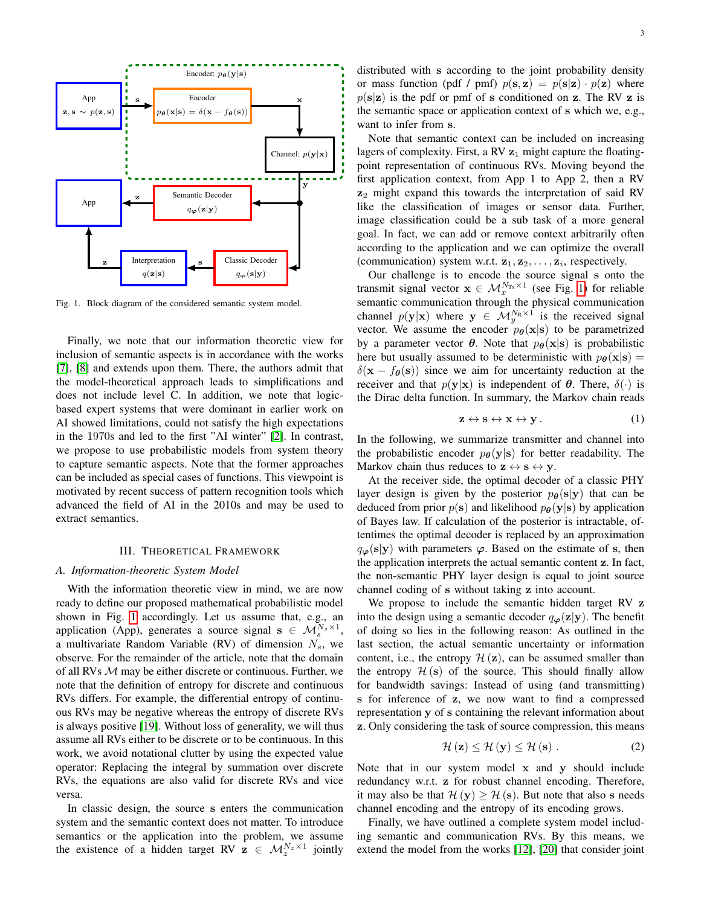

<span id="page-2-1"></span>Fig. 1. Block diagram of the considered semantic system model.

Finally, we note that our information theoretic view for inclusion of semantic aspects is in accordance with the works [\[7\]](#page-11-6), [\[8\]](#page-11-7) and extends upon them. There, the authors admit that the model-theoretical approach leads to simplifications and does not include level C. In addition, we note that logicbased expert systems that were dominant in earlier work on AI showed limitations, could not satisfy the high expectations in the 1970s and led to the first "AI winter" [\[2\]](#page-11-1). In contrast, we propose to use probabilistic models from system theory to capture semantic aspects. Note that the former approaches can be included as special cases of functions. This viewpoint is motivated by recent success of pattern recognition tools which advanced the field of AI in the 2010s and may be used to extract semantics.

#### III. THEORETICAL FRAMEWORK

#### <span id="page-2-0"></span>*A. Information-theoretic System Model*

With the information theoretic view in mind, we are now ready to define our proposed mathematical probabilistic model shown in Fig. [1](#page-2-1) accordingly. Let us assume that, e.g., an application (App), generates a source signal  $\mathbf{s} \in \mathcal{M}_s^{N_s \times 1}$ , a multivariate Random Variable (RV) of dimension  $N_s$ , we observe. For the remainder of the article, note that the domain of all RVs  $M$  may be either discrete or continuous. Further, we note that the definition of entropy for discrete and continuous RVs differs. For example, the differential entropy of continuous RVs may be negative whereas the entropy of discrete RVs is always positive [\[19\]](#page-11-19). Without loss of generality, we will thus assume all RVs either to be discrete or to be continuous. In this work, we avoid notational clutter by using the expected value operator: Replacing the integral by summation over discrete RVs, the equations are also valid for discrete RVs and vice versa.

In classic design, the source s enters the communication system and the semantic context does not matter. To introduce semantics or the application into the problem, we assume the existence of a hidden target RV  $z \in \mathcal{M}_z^{N_z \times 1}$  jointly

distributed with s according to the joint probability density or mass function (pdf / pmf)  $p(s, z) = p(s|z) \cdot p(z)$  where  $p(s|z)$  is the pdf or pmf of s conditioned on z. The RV z is the semantic space or application context of s which we, e.g., want to infer from s.

Note that semantic context can be included on increasing lagers of complexity. First, a RV  $z_1$  might capture the floatingpoint representation of continuous RVs. Moving beyond the first application context, from App 1 to App 2, then a RV  $z_2$  might expand this towards the interpretation of said RV like the classification of images or sensor data. Further, image classification could be a sub task of a more general goal. In fact, we can add or remove context arbitrarily often according to the application and we can optimize the overall (communication) system w.r.t.  $z_1, z_2, \ldots, z_i$ , respectively.

Our challenge is to encode the source signal s onto the transmit signal vector  $\mathbf{x} \in \mathcal{M}_x^{N_{\text{Tx}} \times 1}$  (see Fig. [1\)](#page-2-1) for reliable semantic communication through the physical communication channel  $p(\mathbf{y}|\mathbf{x})$  where  $\mathbf{y} \in \mathcal{M}_{y}^{N_{R} \times 1}$  is the received signal vector. We assume the encoder  $p_{\theta}(\mathbf{x}|\mathbf{s})$  to be parametrized by a parameter vector  $\theta$ . Note that  $p_{\theta}(\mathbf{x}|\mathbf{s})$  is probabilistic here but usually assumed to be deterministic with  $p_{\theta}(\mathbf{x}|\mathbf{s}) =$  $\delta(\mathbf{x} - f_{\theta}(\mathbf{s}))$  since we aim for uncertainty reduction at the receiver and that  $p(y|x)$  is independent of  $\theta$ . There,  $\delta(\cdot)$  is the Dirac delta function. In summary, the Markov chain reads

$$
\mathbf{z} \leftrightarrow \mathbf{s} \leftrightarrow \mathbf{x} \leftrightarrow \mathbf{y} \,. \tag{1}
$$

In the following, we summarize transmitter and channel into the probabilistic encoder  $p_{\theta}(\mathbf{y}|\mathbf{s})$  for better readability. The Markov chain thus reduces to  $z \leftrightarrow s \leftrightarrow y$ .

At the receiver side, the optimal decoder of a classic PHY layer design is given by the posterior  $p_{\theta}(s|y)$  that can be deduced from prior  $p(s)$  and likelihood  $p_{\theta}(y|s)$  by application of Bayes law. If calculation of the posterior is intractable, oftentimes the optimal decoder is replaced by an approximation  $q_{\varphi}(s|y)$  with parameters  $\varphi$ . Based on the estimate of s, then the application interprets the actual semantic content z. In fact, the non-semantic PHY layer design is equal to joint source channel coding of s without taking z into account.

We propose to include the semantic hidden target RV z into the design using a semantic decoder  $q_{\varphi}(\mathbf{z}|\mathbf{y})$ . The benefit of doing so lies in the following reason: As outlined in the last section, the actual semantic uncertainty or information content, i.e., the entropy  $\mathcal{H}(\mathbf{z})$ , can be assumed smaller than the entropy  $H(s)$  of the source. This should finally allow for bandwidth savings: Instead of using (and transmitting) s for inference of z, we now want to find a compressed representation y of s containing the relevant information about z. Only considering the task of source compression, this means

$$
\mathcal{H}\left(\mathbf{z}\right) \leq \mathcal{H}\left(\mathbf{y}\right) \leq \mathcal{H}\left(\mathbf{s}\right). \tag{2}
$$

Note that in our system model x and y should include redundancy w.r.t. z for robust channel encoding. Therefore, it may also be that  $\mathcal{H}(\mathbf{y}) \geq \mathcal{H}(\mathbf{s})$ . But note that also s needs channel encoding and the entropy of its encoding grows.

Finally, we have outlined a complete system model including semantic and communication RVs. By this means, we extend the model from the works [\[12\]](#page-11-11), [\[20\]](#page-11-20) that consider joint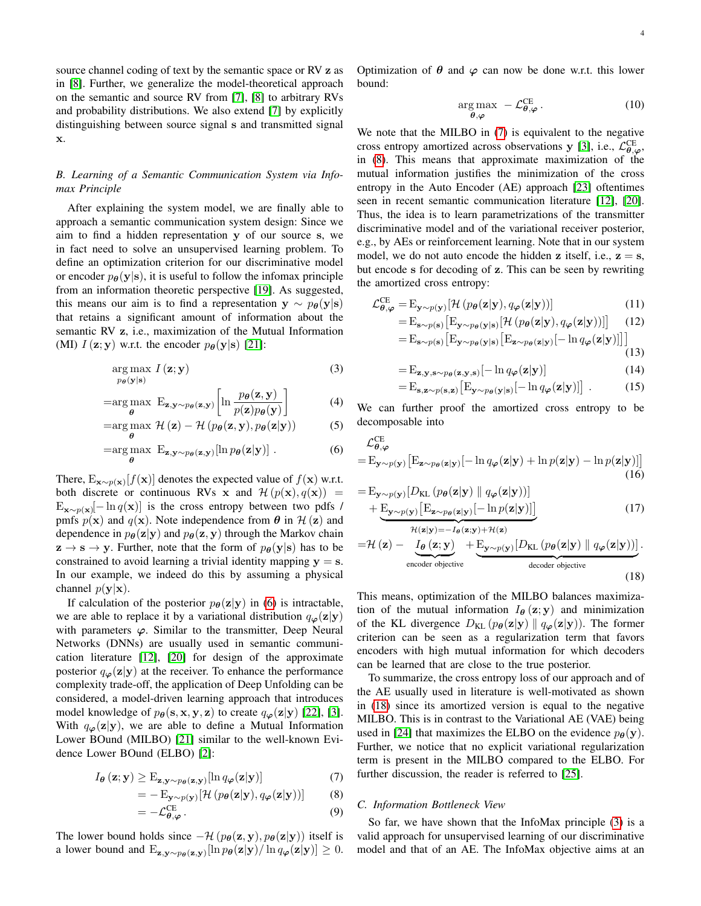source channel coding of text by the semantic space or RV z as in [\[8\]](#page-11-7). Further, we generalize the model-theoretical approach on the semantic and source RV from [\[7\]](#page-11-6), [\[8\]](#page-11-7) to arbitrary RVs and probability distributions. We also extend [\[7\]](#page-11-6) by explicitly distinguishing between source signal s and transmitted signal x.

# <span id="page-3-6"></span>*B. Learning of a Semantic Communication System via Infomax Principle*

After explaining the system model, we are finally able to approach a semantic communication system design: Since we aim to find a hidden representation y of our source s, we in fact need to solve an unsupervised learning problem. To define an optimization criterion for our discriminative model or encoder  $p_{\theta}(\mathbf{y}|\mathbf{s})$ , it is useful to follow the infomax principle from an information theoretic perspective [\[19\]](#page-11-19). As suggested, this means our aim is to find a representation  $y \sim p_{\theta}(y|s)$ that retains a significant amount of information about the semantic RV z, i.e., maximization of the Mutual Information (MI)  $I(\mathbf{z}; \mathbf{y})$  w.r.t. the encoder  $p_{\theta}(\mathbf{y}|\mathbf{s})$  [\[21\]](#page-11-21):

$$
\underset{p\theta(\mathbf{y}|\mathbf{s})}{\arg\max} I(\mathbf{z}; \mathbf{y})
$$
\n(3)

$$
= \arg \max_{\theta} \mathbf{E}_{\mathbf{z}, \mathbf{y} \sim p_{\theta}(\mathbf{z}, \mathbf{y})} \left[ \ln \frac{p_{\theta}(\mathbf{z}, \mathbf{y})}{p(\mathbf{z}) p_{\theta}(\mathbf{y})} \right]
$$
(4)

$$
= \arg \max_{\boldsymbol{\theta}} \mathcal{H}(\mathbf{z}) - \mathcal{H}\left(p_{\boldsymbol{\theta}}(\mathbf{z}, \mathbf{y}), p_{\boldsymbol{\theta}}(\mathbf{z}|\mathbf{y})\right) \tag{5}
$$

$$
= \arg \max_{\boldsymbol{\theta}} \mathbf{E}_{\mathbf{z}, \mathbf{y} \sim p_{\boldsymbol{\theta}}(\mathbf{z}, \mathbf{y})}[\ln p_{\boldsymbol{\theta}}(\mathbf{z}|\mathbf{y})]. \tag{6}
$$

There,  $E_{\mathbf{x} \sim p(\mathbf{x})}[f(\mathbf{x})]$  denotes the expected value of  $f(\mathbf{x})$  w.r.t. both discrete or continuous RVs x and  $\mathcal{H}(p(\mathbf{x}), q(\mathbf{x})) =$  $E_{\mathbf{x} \sim p(\mathbf{x})}[-\ln q(\mathbf{x})]$  is the cross entropy between two pdfs / pmfs  $p(x)$  and  $q(x)$ . Note independence from  $\theta$  in  $\mathcal{H}(z)$  and dependence in  $p_{\theta}(\mathbf{z}|\mathbf{y})$  and  $p_{\theta}(\mathbf{z}, \mathbf{y})$  through the Markov chain  $z \rightarrow s \rightarrow y$ . Further, note that the form of  $p_{\theta}(y|s)$  has to be constrained to avoid learning a trivial identity mapping  $y = s$ . In our example, we indeed do this by assuming a physical channel  $p(\mathbf{y}|\mathbf{x})$ .

If calculation of the posterior  $p_{\theta}(\mathbf{z}|\mathbf{y})$  in [\(6\)](#page-3-0) is intractable, we are able to replace it by a variational distribution  $q_{\varphi}(\mathbf{z}|\mathbf{y})$ with parameters  $\varphi$ . Similar to the transmitter, Deep Neural Networks (DNNs) are usually used in semantic communication literature [\[12\]](#page-11-11), [\[20\]](#page-11-20) for design of the approximate posterior  $q_{\varphi}(\mathbf{z}|\mathbf{y})$  at the receiver. To enhance the performance complexity trade-off, the application of Deep Unfolding can be considered, a model-driven learning approach that introduces model knowledge of  $p_{\theta}(s, x, y, z)$  to create  $q_{\varphi}(z|y)$  [\[22\]](#page-11-22), [\[3\]](#page-11-2). With  $q_{\varphi}(\mathbf{z}|\mathbf{y})$ , we are able to define a Mutual Information Lower BOund (MILBO) [\[21\]](#page-11-21) similar to the well-known Evidence Lower BOund (ELBO) [\[2\]](#page-11-1):

$$
I_{\theta}(\mathbf{z}; \mathbf{y}) \ge \mathbf{E}_{\mathbf{z}, \mathbf{y} \sim p_{\theta}(\mathbf{z}, \mathbf{y})}[\ln q_{\varphi}(\mathbf{z}|\mathbf{y})] \tag{7}
$$

$$
= -\mathbf{E}_{\mathbf{y} \sim p(\mathbf{y})} [\mathcal{H} (p_{\theta}(\mathbf{z}|\mathbf{y}), q_{\varphi}(\mathbf{z}|\mathbf{y}))]
$$
(8)

$$
=-\mathcal{L}_{\theta,\varphi}^{\mathrm{CE}}.
$$

The lower bound holds since  $-\mathcal{H}(p_{\theta}(\mathbf{z}, \mathbf{y}), p_{\theta}(\mathbf{z}|\mathbf{y}))$  itself is a lower bound and  $E_{\mathbf{z}, \mathbf{y} \sim p_{\boldsymbol{\theta}}(\mathbf{z}, \mathbf{y})}[\ln p_{\boldsymbol{\theta}}(\mathbf{z}|\mathbf{y}) / \ln q_{\boldsymbol{\varphi}}(\mathbf{z}|\mathbf{y})] \ge 0.$  Optimization of  $\theta$  and  $\varphi$  can now be done w.r.t. this lower bound:

<span id="page-3-7"></span>
$$
\underset{\theta,\varphi}{\arg\max} - \mathcal{L}_{\theta,\varphi}^{\text{CE}}.
$$
 (10)

We note that the MILBO in  $(7)$  is equivalent to the negative cross entropy amortized across observations y [\[3\]](#page-11-2), i.e.,  $\mathcal{L}_{\theta,\varphi}^{CE}$ , in [\(8\)](#page-3-2). This means that approximate maximization of the mutual information justifies the minimization of the cross entropy in the Auto Encoder (AE) approach [\[23\]](#page-11-23) oftentimes seen in recent semantic communication literature [\[12\]](#page-11-11), [\[20\]](#page-11-20). Thus, the idea is to learn parametrizations of the transmitter discriminative model and of the variational receiver posterior, e.g., by AEs or reinforcement learning. Note that in our system model, we do not auto encode the hidden z itself, i.e.,  $z = s$ , but encode s for decoding of z. This can be seen by rewriting the amortized cross entropy:

$$
\mathcal{L}_{\theta,\varphi}^{\text{CE}} = \mathbf{E}_{\mathbf{y} \sim p(\mathbf{y})} [\mathcal{H}(p_{\theta}(\mathbf{z}|\mathbf{y}), q_{\varphi}(\mathbf{z}|\mathbf{y}))]
$$
(11)

$$
= \mathbf{E}_{\mathbf{s} \sim p(\mathbf{s})} \left[ \mathbf{E}_{\mathbf{y} \sim p_{\theta}(\mathbf{y}|\mathbf{s})} \left[ \mathcal{H} \left( p_{\theta}(\mathbf{z}|\mathbf{y}), q_{\varphi}(\mathbf{z}|\mathbf{y}) \right) \right] \right] \tag{12}
$$

$$
= \mathbf{E}_{\mathbf{s} \sim p(\mathbf{s})} \left[ \mathbf{E}_{\mathbf{y} \sim p_{\theta}(\mathbf{y}|\mathbf{s})} \left[ \mathbf{E}_{\mathbf{z} \sim p_{\theta}(\mathbf{z}|\mathbf{y})} \left[ -\ln q_{\varphi}(\mathbf{z}|\mathbf{y}) \right] \right] \right]
$$

<span id="page-3-8"></span><span id="page-3-5"></span>
$$
\mathcal{L}_{P(\mathcal{O})}[\mathcal{I}_{\mathcal{J}}]_{P(\mathcal{O})}[\mathcal{I}_{\mathcal{I}}]_{P(\mathcal{O})}[\mathcal{I}_{\mathcal{I}}]_{P(\mathcal{O})}[\mathcal{I}_{\mathcal{I}}]_{P(\mathcal{O})}[\mathcal{I}_{\mathcal{I}}]_{P(\mathcal{O})}[\mathcal{I}_{\mathcal{I}}]
$$

$$
= \mathbf{E}_{\mathbf{z}, \mathbf{y}, \mathbf{s} \sim p_{\boldsymbol{\theta}}(\mathbf{z}, \mathbf{y}, \mathbf{s})}[-\ln q_{\boldsymbol{\varphi}}(\mathbf{z}|\mathbf{y})]
$$
(14)

$$
= \mathbf{E}_{\mathbf{s},\mathbf{z}\sim p(\mathbf{s},\mathbf{z})} \left[ \mathbf{E}_{\mathbf{y}\sim p_{\boldsymbol{\theta}}(\mathbf{y}|\mathbf{s})} [-\ln q_{\boldsymbol{\varphi}}(\mathbf{z}|\mathbf{y})] \right]. \tag{15}
$$

<span id="page-3-4"></span>We can further proof the amortized cross entropy to be decomposable into

<span id="page-3-0"></span>
$$
\mathcal{L}_{\theta,\varphi}^{\text{CE}} = \mathbf{E}_{\mathbf{y} \sim p(\mathbf{y})} \left[ \mathbf{E}_{\mathbf{z} \sim p_{\theta}(\mathbf{z}|\mathbf{y})} [-\ln q_{\varphi}(\mathbf{z}|\mathbf{y}) + \ln p(\mathbf{z}|\mathbf{y}) - \ln p(\mathbf{z}|\mathbf{y})] \right]
$$
(16)

$$
= \mathbf{E}_{\mathbf{y} \sim p(\mathbf{y})} [D_{\text{KL}} (p_{\theta}(\mathbf{z}|\mathbf{y}) || q_{\varphi}(\mathbf{z}|\mathbf{y}))]
$$
  
+ 
$$
\underbrace{\mathbf{E}_{\mathbf{y} \sim p(\mathbf{y})} [\mathbf{E}_{\mathbf{z} \sim p_{\theta}(\mathbf{z}|\mathbf{y})}[-\ln p(\mathbf{z}|\mathbf{y})]]}_{\mathcal{H}(\mathbf{z}|\mathbf{y})=-I_{\theta}(\mathbf{z};\mathbf{y})+\mathcal{H}(\mathbf{z})}
$$
(17)

$$
= \mathcal{H}(\mathbf{z}) - \underbrace{I_{\theta}(\mathbf{z}; \mathbf{y})}_{\text{encoder objective}} + \underbrace{E_{\mathbf{y} \sim p(\mathbf{y})}[D_{\text{KL}}(p_{\theta}(\mathbf{z}|\mathbf{y}) \parallel q_{\varphi}(\mathbf{z}|\mathbf{y}))]}_{\text{decoder objective}}.
$$
\n(18)

<span id="page-3-3"></span>This means, optimization of the MILBO balances maximization of the mutual information  $I_{\theta}(\mathbf{z}; \mathbf{y})$  and minimization of the KL divergence  $D_{KL} (p_{\theta}(\mathbf{z}|\mathbf{y}) || q_{\varphi}(\mathbf{z}|\mathbf{y}))$ . The former criterion can be seen as a regularization term that favors encoders with high mutual information for which decoders can be learned that are close to the true posterior.

To summarize, the cross entropy loss of our approach and of the AE usually used in literature is well-motivated as shown in [\(18\)](#page-3-3) since its amortized version is equal to the negative MILBO. This is in contrast to the Variational AE (VAE) being used in [\[24\]](#page-11-24) that maximizes the ELBO on the evidence  $p_{\theta}(\mathbf{y})$ . Further, we notice that no explicit variational regularization term is present in the MILBO compared to the ELBO. For further discussion, the reader is referred to [\[25\]](#page-11-25).

#### <span id="page-3-2"></span><span id="page-3-1"></span>*C. Information Bottleneck View*

So far, we have shown that the InfoMax principle [\(3\)](#page-3-4) is a valid approach for unsupervised learning of our discriminative model and that of an AE. The InfoMax objective aims at an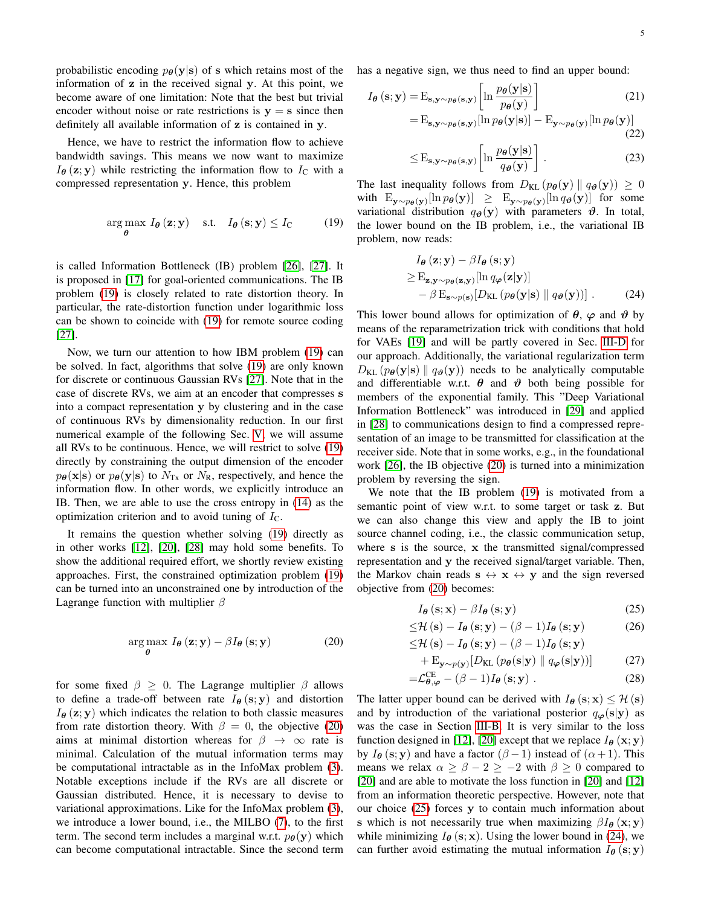probabilistic encoding  $p_{\theta}(\mathbf{y}|\mathbf{s})$  of s which retains most of the information of z in the received signal y. At this point, we become aware of one limitation: Note that the best but trivial encoder without noise or rate restrictions is  $y = s$  since then definitely all available information of z is contained in y.

Hence, we have to restrict the information flow to achieve bandwidth savings. This means we now want to maximize  $I_{\theta}$  (z; y) while restricting the information flow to  $I_{\theta}$  with a compressed representation y. Hence, this problem

$$
\underset{\theta}{\arg\max} \ I_{\theta} \ (\mathbf{z}; \mathbf{y}) \quad \text{s.t.} \quad I_{\theta} \ (\mathbf{s}; \mathbf{y}) \leq I_{\mathcal{C}} \tag{19}
$$

is called Information Bottleneck (IB) problem [\[26\]](#page-11-26), [\[27\]](#page-11-27). It is proposed in [\[17\]](#page-11-16) for goal-oriented communications. The IB problem [\(19\)](#page-4-0) is closely related to rate distortion theory. In particular, the rate-distortion function under logarithmic loss can be shown to coincide with [\(19\)](#page-4-0) for remote source coding [\[27\]](#page-11-27).

Now, we turn our attention to how IBM problem [\(19\)](#page-4-0) can be solved. In fact, algorithms that solve [\(19\)](#page-4-0) are only known for discrete or continuous Gaussian RVs [\[27\]](#page-11-27). Note that in the case of discrete RVs, we aim at an encoder that compresses s into a compact representation y by clustering and in the case of continuous RVs by dimensionality reduction. In our first numerical example of the following Sec. [V,](#page-6-0) we will assume all RVs to be continuous. Hence, we will restrict to solve [\(19\)](#page-4-0) directly by constraining the output dimension of the encoder  $p_{\theta}(\mathbf{x}|\mathbf{s})$  or  $p_{\theta}(\mathbf{y}|\mathbf{s})$  to  $N_{\text{Tx}}$  or  $N_{\text{R}}$ , respectively, and hence the information flow. In other words, we explicitly introduce an IB. Then, we are able to use the cross entropy in [\(14\)](#page-3-5) as the optimization criterion and to avoid tuning of  $I_{\rm C}$ .

It remains the question whether solving [\(19\)](#page-4-0) directly as in other works [\[12\]](#page-11-11), [\[20\]](#page-11-20), [\[28\]](#page-11-28) may hold some benefits. To show the additional required effort, we shortly review existing approaches. First, the constrained optimization problem [\(19\)](#page-4-0) can be turned into an unconstrained one by introduction of the Lagrange function with multiplier  $\beta$ 

$$
\underset{\boldsymbol{\theta}}{\arg\max} \ I_{\boldsymbol{\theta}}\left(\mathbf{z}; \mathbf{y}\right) - \beta I_{\boldsymbol{\theta}}\left(\mathbf{s}; \mathbf{y}\right) \tag{20}
$$

for some fixed  $\beta \geq 0$ . The Lagrange multiplier  $\beta$  allows to define a trade-off between rate  $I_{\theta}$  (s; y) and distortion  $I_{\theta}(\mathbf{z}; \mathbf{y})$  which indicates the relation to both classic measures from rate distortion theory. With  $\beta = 0$ , the objective [\(20\)](#page-4-1) aims at minimal distortion whereas for  $\beta \rightarrow \infty$  rate is minimal. Calculation of the mutual information terms may be computational intractable as in the InfoMax problem [\(3\)](#page-3-4). Notable exceptions include if the RVs are all discrete or Gaussian distributed. Hence, it is necessary to devise to variational approximations. Like for the InfoMax problem [\(3\)](#page-3-4), we introduce a lower bound, i.e., the MILBO [\(7\)](#page-3-1), to the first term. The second term includes a marginal w.r.t.  $p_{\theta}(\mathbf{y})$  which can become computational intractable. Since the second term has a negative sign, we thus need to find an upper bound:

$$
I_{\theta}(\mathbf{s}; \mathbf{y}) = \mathbf{E}_{\mathbf{s}, \mathbf{y} \sim p_{\theta}(\mathbf{s}, \mathbf{y})} \left[ \ln \frac{p_{\theta}(\mathbf{y}|\mathbf{s})}{p_{\theta}(\mathbf{y})} \right]
$$
(21)  
= 
$$
\mathbf{E}_{\mathbf{s}, \mathbf{y} \sim p_{\theta}(\mathbf{s}, \mathbf{y})} [\ln p_{\theta}(\mathbf{y}|\mathbf{s})] - \mathbf{E}_{\mathbf{y} \sim p_{\theta}(\mathbf{y})} [\ln p_{\theta}(\mathbf{y})]
$$
(22)

$$
\leq E_{\mathbf{s}, \mathbf{y} \sim p_{\boldsymbol{\theta}}(\mathbf{s}, \mathbf{y})} \left[ \ln \frac{p_{\boldsymbol{\theta}}(\mathbf{y}|\mathbf{s})}{q_{\boldsymbol{\theta}}(\mathbf{y})} \right] . \tag{23}
$$

<span id="page-4-0"></span>The last inequality follows from  $D_{KL} (p_{\theta}(\mathbf{y}) || q_{\theta}(\mathbf{y})) \geq 0$ with  $E_{\mathbf{y} \sim p_{\boldsymbol{\theta}}(\mathbf{y})}[\ln p_{\boldsymbol{\theta}}(\mathbf{y})] \geq E_{\mathbf{y} \sim p_{\boldsymbol{\theta}}(\mathbf{y})}[\ln q_{\boldsymbol{\theta}}(\mathbf{y})]$  for some variational distribution  $q_{\theta}(\mathbf{y})$  with parameters  $\theta$ . In total, the lower bound on the IB problem, i.e., the variational IB problem, now reads:

<span id="page-4-3"></span>
$$
I_{\theta}(\mathbf{z}; \mathbf{y}) - \beta I_{\theta}(\mathbf{s}; \mathbf{y})
$$
  
\n
$$
\geq \mathbf{E}_{\mathbf{z}, \mathbf{y} \sim p_{\theta}(\mathbf{z}, \mathbf{y})}[\ln q_{\varphi}(\mathbf{z}|\mathbf{y})]
$$
  
\n
$$
- \beta \mathbf{E}_{\mathbf{s} \sim p(\mathbf{s})} [D_{\mathrm{KL}} (p_{\theta}(\mathbf{y}|\mathbf{s}) || q_{\theta}(\mathbf{y}))].
$$
 (24)

This lower bound allows for optimization of  $\theta$ ,  $\varphi$  and  $\vartheta$  by means of the reparametrization trick with conditions that hold for VAEs [\[19\]](#page-11-19) and will be partly covered in Sec. [III-D](#page-5-1) for our approach. Additionally, the variational regularization term  $D_{KL} (p_{\theta}(\mathbf{y}|\mathbf{s}) || q_{\theta}(\mathbf{y}))$  needs to be analytically computable and differentiable w.r.t.  $\theta$  and  $\vartheta$  both being possible for members of the exponential family. This "Deep Variational Information Bottleneck" was introduced in [\[29\]](#page-11-29) and applied in [\[28\]](#page-11-28) to communications design to find a compressed representation of an image to be transmitted for classification at the receiver side. Note that in some works, e.g., in the foundational work [\[26\]](#page-11-26), the IB objective [\(20\)](#page-4-1) is turned into a minimization problem by reversing the sign.

We note that the IB problem [\(19\)](#page-4-0) is motivated from a semantic point of view w.r.t. to some target or task z. But we can also change this view and apply the IB to joint source channel coding, i.e., the classic communication setup, where s is the source, x the transmitted signal/compressed representation and y the received signal/target variable. Then, the Markov chain reads  $s \leftrightarrow x \leftrightarrow y$  and the sign reversed objective from [\(20\)](#page-4-1) becomes:

<span id="page-4-2"></span>
$$
I_{\theta}\left(\mathbf{s};\mathbf{x}\right) - \beta I_{\theta}\left(\mathbf{s};\mathbf{y}\right) \tag{25}
$$

$$
\leq \mathcal{H}\left(\mathbf{s}\right) - I_{\boldsymbol{\theta}}\left(\mathbf{s}; \mathbf{y}\right) - \left(\beta - 1\right) I_{\boldsymbol{\theta}}\left(\mathbf{s}; \mathbf{y}\right) \tag{26}
$$

$$
\leq \mathcal{H}\left(\mathbf{s}\right) - I_{\boldsymbol{\theta}}\left(\mathbf{s};\mathbf{y}\right) - (\beta - 1)I_{\boldsymbol{\theta}}\left(\mathbf{s};\mathbf{y}\right)
$$

$$
+ \mathbf{E}_{\mathbf{y} \sim p(\mathbf{y})} [D_{\mathrm{KL}} (p_{\theta}(\mathbf{s}|\mathbf{y}) || q_{\varphi}(\mathbf{s}|\mathbf{y}))]
$$
 (27)

$$
=\mathcal{L}_{\theta,\varphi}^{\text{CE}} - (\beta - 1)I_{\theta}(\mathbf{s}; \mathbf{y}) . \tag{28}
$$

<span id="page-4-1"></span>The latter upper bound can be derived with  $I_{\theta}$  (s; x)  $\leq \mathcal{H}$  (s) and by introduction of the variational posterior  $q_{\varphi}(s|y)$  as was the case in Section [III-B.](#page-3-6) It is very similar to the loss function designed in [\[12\]](#page-11-11), [\[20\]](#page-11-20) except that we replace  $I_{\theta}(\mathbf{x}; \mathbf{y})$ by  $I_{\theta}$  (s; y) and have a factor ( $\beta - 1$ ) instead of ( $\alpha + 1$ ). This means we relax  $\alpha \ge \beta - 2 \ge -2$  with  $\beta \ge 0$  compared to [\[20\]](#page-11-20) and are able to motivate the loss function in [\[20\]](#page-11-20) and [\[12\]](#page-11-11) from an information theoretic perspective. However, note that our choice [\(25\)](#page-4-2) forces y to contain much information about s which is not necessarily true when maximizing  $\beta I_{\theta}(\mathbf{x}; \mathbf{y})$ while minimizing  $I_{\theta}$  (s; x). Using the lower bound in [\(24\)](#page-4-3), we can further avoid estimating the mutual information  $I_{\theta}$  (s; y)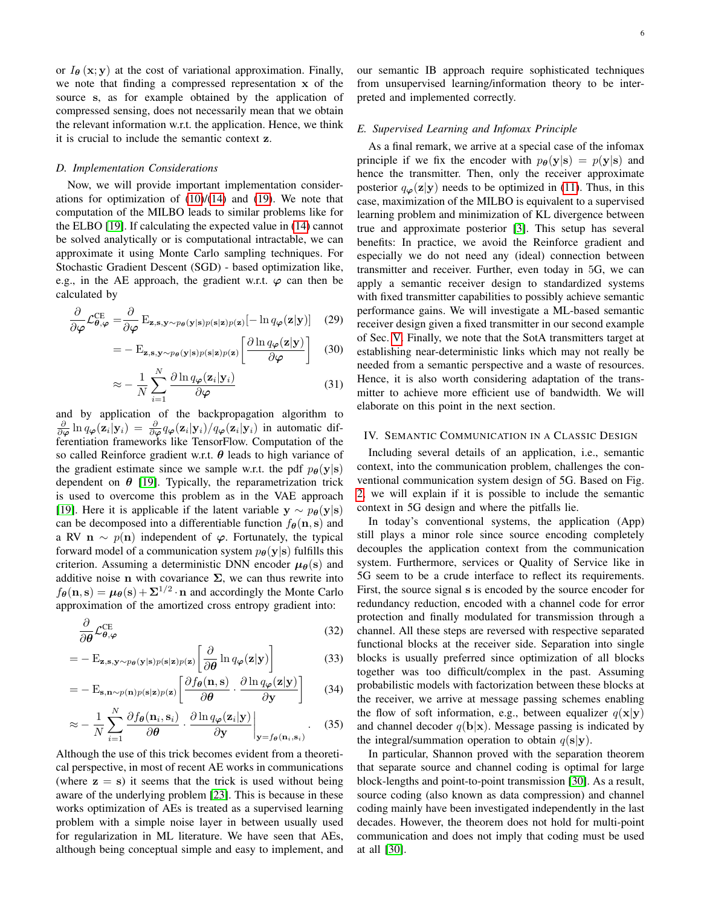or  $I_{\theta}$  (x; y) at the cost of variational approximation. Finally, we note that finding a compressed representation x of the source s, as for example obtained by the application of compressed sensing, does not necessarily mean that we obtain the relevant information w.r.t. the application. Hence, we think it is crucial to include the semantic context z.

## <span id="page-5-1"></span>*D. Implementation Considerations*

Now, we will provide important implementation considerations for optimization of  $(10)/(14)$  $(10)/(14)$  $(10)/(14)$  and  $(19)$ . We note that computation of the MILBO leads to similar problems like for the ELBO [\[19\]](#page-11-19). If calculating the expected value in [\(14\)](#page-3-5) cannot be solved analytically or is computational intractable, we can approximate it using Monte Carlo sampling techniques. For Stochastic Gradient Descent (SGD) - based optimization like, e.g., in the AE approach, the gradient w.r.t.  $\varphi$  can then be calculated by

$$
\frac{\partial}{\partial \varphi} \mathcal{L}_{\theta, \varphi}^{\text{CE}} = \frac{\partial}{\partial \varphi} \mathbf{E}_{\mathbf{z}, \mathbf{s}, \mathbf{y} \sim p_{\theta}(\mathbf{y} | \mathbf{s}) p(\mathbf{s} | \mathbf{z}) p(\mathbf{z})} [-\ln q_{\varphi}(\mathbf{z} | \mathbf{y})]
$$
(29)

$$
= - \mathbf{E}_{\mathbf{z}, \mathbf{s}, \mathbf{y} \sim p_{\boldsymbol{\theta}}(\mathbf{y}|\mathbf{s}) p(\mathbf{s}|\mathbf{z}) p(\mathbf{z})} \left[ \frac{\partial \ln q_{\boldsymbol{\varphi}}(\mathbf{z}|\mathbf{y})}{\partial \boldsymbol{\varphi}} \right] \quad (30)
$$

$$
\approx -\frac{1}{N} \sum_{i=1}^{N} \frac{\partial \ln q_{\varphi}(\mathbf{z}_{i}|\mathbf{y}_{i})}{\partial \varphi}
$$
(31)

and by application of the backpropagation algorithm to  $\frac{\partial}{\partial \varphi} \ln q_{\varphi}(\mathbf{z}_i | \mathbf{y}_i) = \frac{\partial}{\partial \varphi} q_{\varphi}(\mathbf{z}_i | \mathbf{y}_i) / q_{\varphi}(\mathbf{z}_i | \mathbf{y}_i)$  in automatic differentiation frameworks like TensorFlow. Computation of the so called Reinforce gradient w.r.t.  $\theta$  leads to high variance of the gradient estimate since we sample w.r.t. the pdf  $p_{\theta}(\mathbf{y}|\mathbf{s})$ dependent on  $\theta$  [\[19\]](#page-11-19). Typically, the reparametrization trick is used to overcome this problem as in the VAE approach [\[19\]](#page-11-19). Here it is applicable if the latent variable  $y \sim p_{\theta}(y|s)$ can be decomposed into a differentiable function  $f_{\theta}(\mathbf{n}, \mathbf{s})$  and a RV n  $\sim p(n)$  independent of  $\varphi$ . Fortunately, the typical forward model of a communication system  $p_{\theta}(\mathbf{y}|\mathbf{s})$  fulfills this criterion. Assuming a deterministic DNN encoder  $\mu_{\theta}(s)$  and additive noise n with covariance  $\Sigma$ , we can thus rewrite into  $f_{\theta}(\mathbf{n}, \mathbf{s}) = \mu_{\theta}(\mathbf{s}) + \Sigma^{1/2} \cdot \mathbf{n}$  and accordingly the Monte Carlo approximation of the amortized cross entropy gradient into:

$$
\frac{\partial}{\partial \theta} \mathcal{L}_{\theta,\varphi}^{\text{CE}} \tag{32}
$$

$$
= - \mathbf{E}_{\mathbf{z},\mathbf{s},\mathbf{y}\sim p_{\boldsymbol{\theta}}(\mathbf{y}|\mathbf{s})p(\mathbf{s}|\mathbf{z})p(\mathbf{z})} \left[ \frac{\partial}{\partial \boldsymbol{\theta}} \ln q_{\boldsymbol{\varphi}}(\mathbf{z}|\mathbf{y}) \right]
$$
(33)

$$
= - \mathbf{E}_{\mathbf{s}, \mathbf{n} \sim p(\mathbf{n})p(\mathbf{s}|\mathbf{z})p(\mathbf{z})} \left[ \frac{\partial f_{\boldsymbol{\theta}}(\mathbf{n}, \mathbf{s})}{\partial \boldsymbol{\theta}} \cdot \frac{\partial \ln q_{\boldsymbol{\varphi}}(\mathbf{z}|\mathbf{y})}{\partial \mathbf{y}} \right]
$$
(34)

$$
\approx -\frac{1}{N} \sum_{i=1}^{N} \frac{\partial f_{\theta}(\mathbf{n}_{i}, \mathbf{s}_{i})}{\partial \theta} \cdot \frac{\partial \ln q_{\varphi}(\mathbf{z}_{i}|\mathbf{y})}{\partial \mathbf{y}} \bigg|_{\mathbf{y} = f_{\theta}(\mathbf{n}_{i}, \mathbf{s}_{i})}.
$$
 (35)

Although the use of this trick becomes evident from a theoretical perspective, in most of recent AE works in communications (where  $z = s$ ) it seems that the trick is used without being aware of the underlying problem [\[23\]](#page-11-23). This is because in these works optimization of AEs is treated as a supervised learning problem with a simple noise layer in between usually used for regularization in ML literature. We have seen that AEs, although being conceptual simple and easy to implement, and our semantic IB approach require sophisticated techniques from unsupervised learning/information theory to be interpreted and implemented correctly.

#### *E. Supervised Learning and Infomax Principle*

As a final remark, we arrive at a special case of the infomax principle if we fix the encoder with  $p_{\theta}(\mathbf{y}|\mathbf{s}) = p(\mathbf{y}|\mathbf{s})$  and hence the transmitter. Then, only the receiver approximate posterior  $q_{\varphi}(\mathbf{z}|\mathbf{y})$  needs to be optimized in [\(11\)](#page-3-8). Thus, in this case, maximization of the MILBO is equivalent to a supervised learning problem and minimization of KL divergence between true and approximate posterior [\[3\]](#page-11-2). This setup has several benefits: In practice, we avoid the Reinforce gradient and especially we do not need any (ideal) connection between transmitter and receiver. Further, even today in 5G, we can apply a semantic receiver design to standardized systems with fixed transmitter capabilities to possibly achieve semantic performance gains. We will investigate a ML-based semantic receiver design given a fixed transmitter in our second example of Sec. [V.](#page-6-0) Finally, we note that the SotA transmitters target at establishing near-deterministic links which may not really be needed from a semantic perspective and a waste of resources. Hence, it is also worth considering adaptation of the transmitter to achieve more efficient use of bandwidth. We will elaborate on this point in the next section.

## <span id="page-5-0"></span>IV. SEMANTIC COMMUNICATION IN A CLASSIC DESIGN

Including several details of an application, i.e., semantic context, into the communication problem, challenges the conventional communication system design of 5G. Based on Fig. [2,](#page-6-1) we will explain if it is possible to include the semantic context in 5G design and where the pitfalls lie.

In today's conventional systems, the application (App) still plays a minor role since source encoding completely decouples the application context from the communication system. Furthermore, services or Quality of Service like in 5G seem to be a crude interface to reflect its requirements. First, the source signal s is encoded by the source encoder for redundancy reduction, encoded with a channel code for error protection and finally modulated for transmission through a channel. All these steps are reversed with respective separated functional blocks at the receiver side. Separation into single blocks is usually preferred since optimization of all blocks together was too difficult/complex in the past. Assuming probabilistic models with factorization between these blocks at the receiver, we arrive at message passing schemes enabling the flow of soft information, e.g., between equalizer  $q(\mathbf{x}|\mathbf{y})$ and channel decoder  $q(\mathbf{b}|\mathbf{x})$ . Message passing is indicated by the integral/summation operation to obtain  $q(s|y)$ .

In particular, Shannon proved with the separation theorem that separate source and channel coding is optimal for large block-lengths and point-to-point transmission [\[30\]](#page-12-0). As a result, source coding (also known as data compression) and channel coding mainly have been investigated independently in the last decades. However, the theorem does not hold for multi-point communication and does not imply that coding must be used at all [\[30\]](#page-12-0).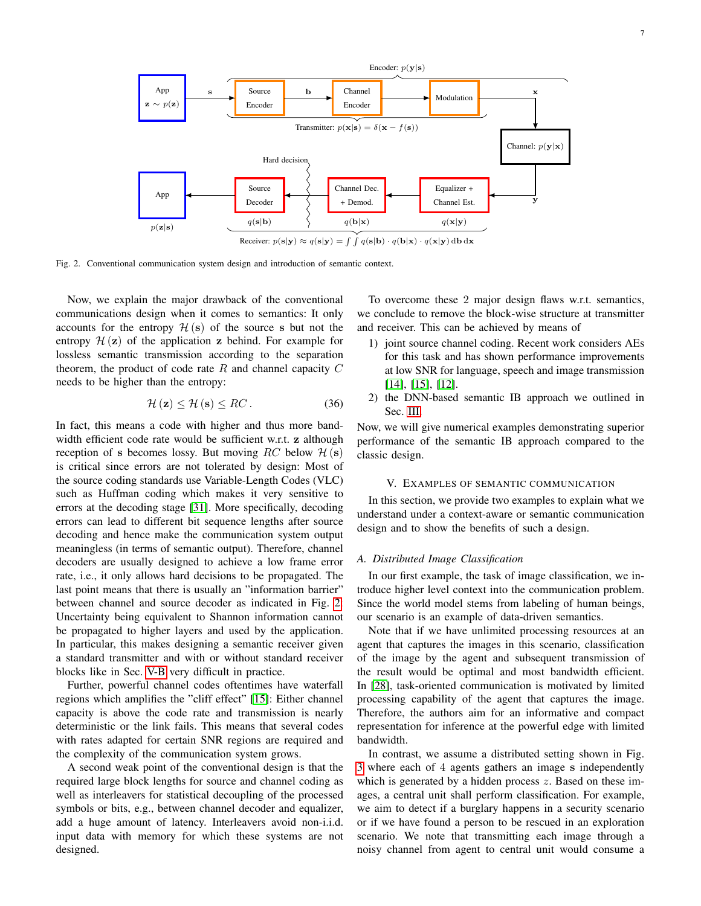

<span id="page-6-1"></span>Fig. 2. Conventional communication system design and introduction of semantic context.

Now, we explain the major drawback of the conventional communications design when it comes to semantics: It only accounts for the entropy  $\mathcal{H}(s)$  of the source s but not the entropy  $\mathcal{H}(\mathbf{z})$  of the application  $\mathbf{z}$  behind. For example for lossless semantic transmission according to the separation theorem, the product of code rate  $R$  and channel capacity  $C$ needs to be higher than the entropy:

$$
\mathcal{H}\left(\mathbf{z}\right) \leq \mathcal{H}\left(\mathbf{s}\right) \leq RC\,. \tag{36}
$$

In fact, this means a code with higher and thus more bandwidth efficient code rate would be sufficient w.r.t. z although reception of s becomes lossy. But moving RC below  $\mathcal{H}(s)$ is critical since errors are not tolerated by design: Most of the source coding standards use Variable-Length Codes (VLC) such as Huffman coding which makes it very sensitive to errors at the decoding stage [\[31\]](#page-12-1). More specifically, decoding errors can lead to different bit sequence lengths after source decoding and hence make the communication system output meaningless (in terms of semantic output). Therefore, channel decoders are usually designed to achieve a low frame error rate, i.e., it only allows hard decisions to be propagated. The last point means that there is usually an "information barrier" between channel and source decoder as indicated in Fig. [2:](#page-6-1) Uncertainty being equivalent to Shannon information cannot be propagated to higher layers and used by the application. In particular, this makes designing a semantic receiver given a standard transmitter and with or without standard receiver blocks like in Sec. [V-B](#page-9-0) very difficult in practice.

Further, powerful channel codes oftentimes have waterfall regions which amplifies the "cliff effect" [\[15\]](#page-11-14): Either channel capacity is above the code rate and transmission is nearly deterministic or the link fails. This means that several codes with rates adapted for certain SNR regions are required and the complexity of the communication system grows.

A second weak point of the conventional design is that the required large block lengths for source and channel coding as well as interleavers for statistical decoupling of the processed symbols or bits, e.g., between channel decoder and equalizer, add a huge amount of latency. Interleavers avoid non-i.i.d. input data with memory for which these systems are not designed.

To overcome these 2 major design flaws w.r.t. semantics, we conclude to remove the block-wise structure at transmitter and receiver. This can be achieved by means of

- 1) joint source channel coding. Recent work considers AEs for this task and has shown performance improvements at low SNR for language, speech and image transmission [\[14\]](#page-11-13), [\[15\]](#page-11-14), [\[12\]](#page-11-11).
- 2) the DNN-based semantic IB approach we outlined in Sec. [III.](#page-2-0)

Now, we will give numerical examples demonstrating superior performance of the semantic IB approach compared to the classic design.

### V. EXAMPLES OF SEMANTIC COMMUNICATION

<span id="page-6-0"></span>In this section, we provide two examples to explain what we understand under a context-aware or semantic communication design and to show the benefits of such a design.

## <span id="page-6-2"></span>*A. Distributed Image Classification*

In our first example, the task of image classification, we introduce higher level context into the communication problem. Since the world model stems from labeling of human beings, our scenario is an example of data-driven semantics.

Note that if we have unlimited processing resources at an agent that captures the images in this scenario, classification of the image by the agent and subsequent transmission of the result would be optimal and most bandwidth efficient. In [\[28\]](#page-11-28), task-oriented communication is motivated by limited processing capability of the agent that captures the image. Therefore, the authors aim for an informative and compact representation for inference at the powerful edge with limited bandwidth.

In contrast, we assume a distributed setting shown in Fig. [3](#page-7-0) where each of 4 agents gathers an image s independently which is generated by a hidden process z. Based on these images, a central unit shall perform classification. For example, we aim to detect if a burglary happens in a security scenario or if we have found a person to be rescued in an exploration scenario. We note that transmitting each image through a noisy channel from agent to central unit would consume a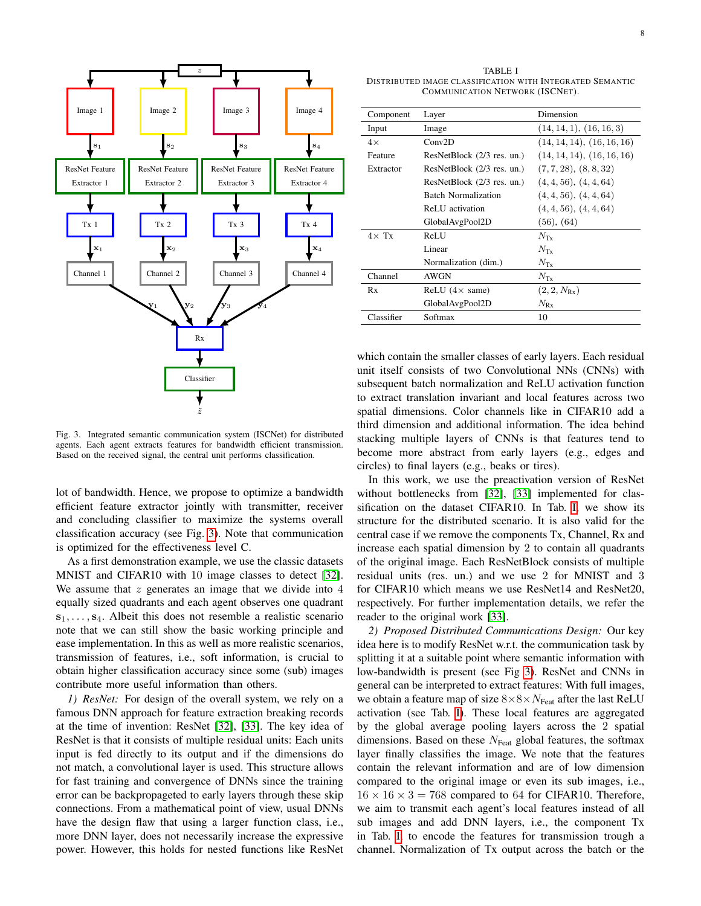

8

<span id="page-7-1"></span>TABLE I DISTRIBUTED IMAGE CLASSIFICATION WITH INTEGRATED SEMANTIC COMMUNICATION NETWORK (ISCNET).

| Component     | Layer                         | Dimension                  |
|---------------|-------------------------------|----------------------------|
|               |                               |                            |
| Input         | Image                         | (14, 14, 1), (16, 16, 3)   |
| $4\times$     | Conv2D                        | (14, 14, 14), (16, 16, 16) |
| Feature       | ResNetBlock (2/3 res. un.)    | (14, 14, 14), (16, 16, 16) |
| Extractor     | ResNetBlock (2/3 res. un.)    | (7, 7, 28), (8, 8, 32)     |
|               | ResNetBlock (2/3 res. un.)    | (4, 4, 56), (4, 4, 64)     |
|               | <b>Batch Normalization</b>    | (4, 4, 56), (4, 4, 64)     |
|               | ReLU activation               | (4, 4, 56), (4, 4, 64)     |
|               | GlobalAvgPool2D               | (56), (64)                 |
| $4 \times Tx$ | ReLU                          | $N_{\text{Tx}}$            |
|               | Linear                        | $N_{\text{Tx}}$            |
|               | Normalization (dim.)          | $N_{\text{Tx}}$            |
| Channel       | AWGN                          | $N_{\text{Tx}}$            |
| Rx            | ReLU $(4 \times \text{same})$ | $(2, 2, N_{\rm Rx})$       |
|               | GlobalAvgPool2D               | $N_{\rm Rx}$               |
| Classifier    | Softmax                       | 10                         |

which contain the smaller classes of early layers. Each residual unit itself consists of two Convolutional NNs (CNNs) with subsequent batch normalization and ReLU activation function to extract translation invariant and local features across two spatial dimensions. Color channels like in CIFAR10 add a third dimension and additional information. The idea behind stacking multiple layers of CNNs is that features tend to become more abstract from early layers (e.g., edges and circles) to final layers (e.g., beaks or tires).

In this work, we use the preactivation version of ResNet without bottlenecks from [\[32\]](#page-12-2), [\[33\]](#page-12-3) implemented for classification on the dataset CIFAR10. In Tab. [I,](#page-7-1) we show its structure for the distributed scenario. It is also valid for the central case if we remove the components Tx, Channel, Rx and increase each spatial dimension by 2 to contain all quadrants of the original image. Each ResNetBlock consists of multiple residual units (res. un.) and we use 2 for MNIST and 3 for CIFAR10 which means we use ResNet14 and ResNet20, respectively. For further implementation details, we refer the reader to the original work [\[33\]](#page-12-3).

*2) Proposed Distributed Communications Design:* Our key idea here is to modify ResNet w.r.t. the communication task by splitting it at a suitable point where semantic information with low-bandwidth is present (see Fig [3\)](#page-7-0). ResNet and CNNs in general can be interpreted to extract features: With full images, we obtain a feature map of size  $8\times8\times N_{\text{Feat}}$  after the last ReLU activation (see Tab. [I\)](#page-7-1). These local features are aggregated by the global average pooling layers across the 2 spatial dimensions. Based on these  $N_{\text{Feat}}$  global features, the softmax layer finally classifies the image. We note that the features contain the relevant information and are of low dimension compared to the original image or even its sub images, i.e.,  $16 \times 16 \times 3 = 768$  compared to 64 for CIFAR10. Therefore, we aim to transmit each agent's local features instead of all sub images and add DNN layers, i.e., the component Tx in Tab. [I,](#page-7-1) to encode the features for transmission trough a channel. Normalization of Tx output across the batch or the

<span id="page-7-0"></span>Fig. 3. Integrated semantic communication system (ISCNet) for distributed agents. Each agent extracts features for bandwidth efficient transmission. Based on the received signal, the central unit performs classification.

lot of bandwidth. Hence, we propose to optimize a bandwidth efficient feature extractor jointly with transmitter, receiver and concluding classifier to maximize the systems overall classification accuracy (see Fig. [3\)](#page-7-0). Note that communication is optimized for the effectiveness level C.

As a first demonstration example, we use the classic datasets MNIST and CIFAR10 with 10 image classes to detect [\[32\]](#page-12-2). We assume that  $z$  generates an image that we divide into  $4$ equally sized quadrants and each agent observes one quadrant  $s_1, \ldots, s_4$ . Albeit this does not resemble a realistic scenario note that we can still show the basic working principle and ease implementation. In this as well as more realistic scenarios, transmission of features, i.e., soft information, is crucial to obtain higher classification accuracy since some (sub) images contribute more useful information than others.

*1) ResNet:* For design of the overall system, we rely on a famous DNN approach for feature extraction breaking records at the time of invention: ResNet [\[32\]](#page-12-2), [\[33\]](#page-12-3). The key idea of ResNet is that it consists of multiple residual units: Each units input is fed directly to its output and if the dimensions do not match, a convolutional layer is used. This structure allows for fast training and convergence of DNNs since the training error can be backpropageted to early layers through these skip connections. From a mathematical point of view, usual DNNs have the design flaw that using a larger function class, i.e., more DNN layer, does not necessarily increase the expressive power. However, this holds for nested functions like ResNet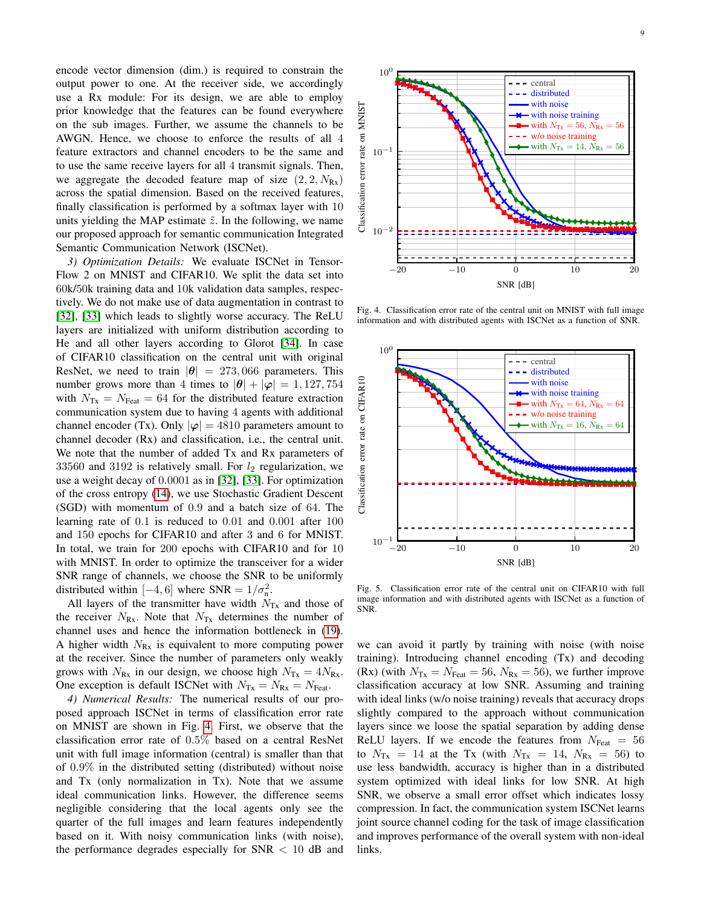encode vector dimension (dim.) is required to constrain the output power to one. At the receiver side, we accordingly use a Rx module: For its design, we are able to employ prior knowledge that the features can be found everywhere on the sub images. Further, we assume the channels to be AWGN. Hence, we choose to enforce the results of all 4 feature extractors and channel encoders to be the same and to use the same receive layers for all 4 transmit signals. Then, we aggregate the decoded feature map of size  $(2, 2, N_{Rx})$ across the spatial dimension. Based on the received features, finally classification is performed by a softmax layer with 10 units yielding the MAP estimate  $\tilde{z}$ . In the following, we name our proposed approach for semantic communication Integrated Semantic Communication Network (ISCNet).

*3) Optimization Details:* We evaluate ISCNet in Tensor-Flow 2 on MNIST and CIFAR10. We split the data set into 60k/50k training data and 10k validation data samples, respectively. We do not make use of data augmentation in contrast to [\[32\]](#page-12-2), [\[33\]](#page-12-3) which leads to slightly worse accuracy. The ReLU layers are initialized with uniform distribution according to He and all other layers according to Glorot [\[34\]](#page-12-4). In case of CIFAR10 classification on the central unit with original ResNet, we need to train  $|\theta| = 273,066$  parameters. This number grows more than 4 times to  $|\theta| + |\varphi| = 1,127,754$ with  $N_{\text{Tx}} = N_{\text{Feat}} = 64$  for the distributed feature extraction communication system due to having 4 agents with additional channel encoder (Tx). Only  $|\varphi| = 4810$  parameters amount to channel decoder (Rx) and classification, i.e., the central unit. We note that the number of added Tx and Rx parameters of 33560 and 3192 is relatively small. For  $l_2$  regularization, we use a weight decay of 0.0001 as in [\[32\]](#page-12-2), [\[33\]](#page-12-3). For optimization of the cross entropy [\(14\)](#page-3-5), we use Stochastic Gradient Descent (SGD) with momentum of 0.9 and a batch size of 64. The learning rate of 0.1 is reduced to 0.01 and 0.001 after 100 and 150 epochs for CIFAR10 and after 3 and 6 for MNIST. In total, we train for 200 epochs with CIFAR10 and for 10 with MNIST. In order to optimize the transceiver for a wider SNR range of channels, we choose the SNR to be uniformly distributed within [-4, 6] where  $SNR = 1/\sigma_n^2$ .

All layers of the transmitter have width  $N_{Tx}$  and those of the receiver  $N_{\text{Rx}}$ . Note that  $N_{\text{Tx}}$  determines the number of channel uses and hence the information bottleneck in [\(19\)](#page-4-0). A higher width  $N_{Rx}$  is equivalent to more computing power at the receiver. Since the number of parameters only weakly grows with  $N_{\text{Rx}}$  in our design, we choose high  $N_{\text{Tx}} = 4N_{\text{Rx}}$ . One exception is default ISCNet with  $N_{\text{Tx}} = N_{\text{Rx}} = N_{\text{Feat}}$ .

*4) Numerical Results:* The numerical results of our proposed approach ISCNet in terms of classification error rate on MNIST are shown in Fig. [4.](#page-8-0) First, we observe that the classification error rate of 0.5% based on a central ResNet unit with full image information (central) is smaller than that of 0.9% in the distributed setting (distributed) without noise and Tx (only normalization in Tx). Note that we assume ideal communication links. However, the difference seems negligible considering that the local agents only see the quarter of the full images and learn features independently based on it. With noisy communication links (with noise), the performance degrades especially for  $SNR < 10$  dB and



<span id="page-8-0"></span>Fig. 4. Classification error rate of the central unit on MNIST with full image information and with distributed agents with ISCNet as a function of SNR.



<span id="page-8-1"></span>Fig. 5. Classification error rate of the central unit on CIFAR10 with full image information and with distributed agents with ISCNet as a function of SNR.

we can avoid it partly by training with noise (with noise training). Introducing channel encoding (Tx) and decoding (Rx) (with  $N_{\text{Tx}} = N_{\text{Feat}} = 56$ ,  $N_{\text{Rx}} = 56$ ), we further improve classification accuracy at low SNR. Assuming and training with ideal links (w/o noise training) reveals that accuracy drops slightly compared to the approach without communication layers since we loose the spatial separation by adding dense ReLU layers. If we encode the features from  $N_{\text{Feat}} = 56$ to  $N_{Tx} = 14$  at the Tx (with  $N_{Tx} = 14$ ,  $N_{Rx} = 56$ ) to use less bandwidth, accuracy is higher than in a distributed system optimized with ideal links for low SNR. At high SNR, we observe a small error offset which indicates lossy compression. In fact, the communication system ISCNet learns joint source channel coding for the task of image classification and improves performance of the overall system with non-ideal links.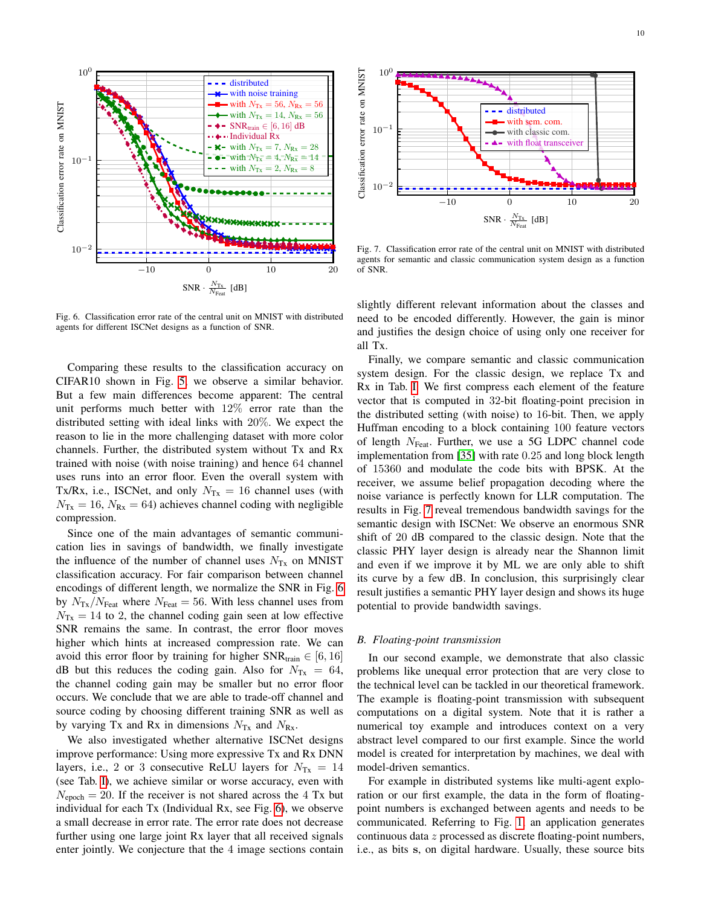

<span id="page-9-1"></span>Fig. 6. Classification error rate of the central unit on MNIST with distributed agents for different ISCNet designs as a function of SNR.

Comparing these results to the classification accuracy on CIFAR10 shown in Fig. [5,](#page-8-1) we observe a similar behavior. But a few main differences become apparent: The central unit performs much better with 12% error rate than the distributed setting with ideal links with 20%. We expect the reason to lie in the more challenging dataset with more color channels. Further, the distributed system without Tx and Rx trained with noise (with noise training) and hence 64 channel uses runs into an error floor. Even the overall system with Tx/Rx, i.e., ISCNet, and only  $N_{Tx} = 16$  channel uses (with  $N_{\text{Tx}} = 16$ ,  $N_{\text{Rx}} = 64$ ) achieves channel coding with negligible compression.

Since one of the main advantages of semantic communication lies in savings of bandwidth, we finally investigate the influence of the number of channel uses  $N_{Tx}$  on MNIST classification accuracy. For fair comparison between channel encodings of different length, we normalize the SNR in Fig. [6](#page-9-1) by  $N_{\text{Tx}}/N_{\text{Feat}}$  where  $N_{\text{Feat}} = 56$ . With less channel uses from  $N_{\text{Tx}} = 14$  to 2, the channel coding gain seen at low effective SNR remains the same. In contrast, the error floor moves higher which hints at increased compression rate. We can avoid this error floor by training for higher  $SNR_{train} \in [6, 16]$ dB but this reduces the coding gain. Also for  $N_{Tx} = 64$ , the channel coding gain may be smaller but no error floor occurs. We conclude that we are able to trade-off channel and source coding by choosing different training SNR as well as by varying Tx and Rx in dimensions  $N_{\text{Tx}}$  and  $N_{\text{Rx}}$ .

We also investigated whether alternative ISCNet designs improve performance: Using more expressive Tx and Rx DNN layers, i.e., 2 or 3 consecutive ReLU layers for  $N_{Tx} = 14$ (see Tab. [I\)](#page-7-1), we achieve similar or worse accuracy, even with  $N_{\text{epoch}} = 20$ . If the receiver is not shared across the 4 Tx but individual for each Tx (Individual Rx, see Fig. [6\)](#page-9-1), we observe a small decrease in error rate. The error rate does not decrease further using one large joint Rx layer that all received signals enter jointly. We conjecture that the 4 image sections contain



<span id="page-9-2"></span>Fig. 7. Classification error rate of the central unit on MNIST with distributed agents for semantic and classic communication system design as a function of SNR.

slightly different relevant information about the classes and need to be encoded differently. However, the gain is minor and justifies the design choice of using only one receiver for all Tx.

Finally, we compare semantic and classic communication system design. For the classic design, we replace Tx and Rx in Tab. [I:](#page-7-1) We first compress each element of the feature vector that is computed in 32-bit floating-point precision in the distributed setting (with noise) to 16-bit. Then, we apply Huffman encoding to a block containing 100 feature vectors of length  $N_{\text{Feat}}$ . Further, we use a 5G LDPC channel code implementation from [\[35\]](#page-12-5) with rate 0.25 and long block length of 15360 and modulate the code bits with BPSK. At the receiver, we assume belief propagation decoding where the noise variance is perfectly known for LLR computation. The results in Fig. [7](#page-9-2) reveal tremendous bandwidth savings for the semantic design with ISCNet: We observe an enormous SNR shift of 20 dB compared to the classic design. Note that the classic PHY layer design is already near the Shannon limit and even if we improve it by ML we are only able to shift its curve by a few dB. In conclusion, this surprisingly clear result justifies a semantic PHY layer design and shows its huge potential to provide bandwidth savings.

### <span id="page-9-0"></span>*B. Floating-point transmission*

In our second example, we demonstrate that also classic problems like unequal error protection that are very close to the technical level can be tackled in our theoretical framework. The example is floating-point transmission with subsequent computations on a digital system. Note that it is rather a numerical toy example and introduces context on a very abstract level compared to our first example. Since the world model is created for interpretation by machines, we deal with model-driven semantics.

For example in distributed systems like multi-agent exploration or our first example, the data in the form of floatingpoint numbers is exchanged between agents and needs to be communicated. Referring to Fig. [1,](#page-2-1) an application generates continuous data z processed as discrete floating-point numbers, i.e., as bits s, on digital hardware. Usually, these source bits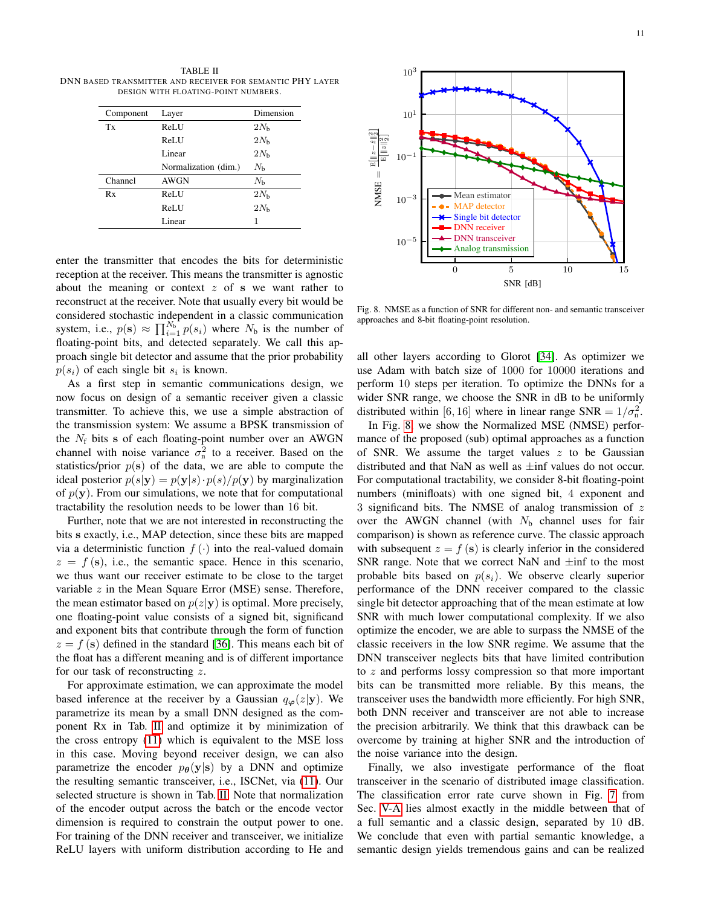<span id="page-10-0"></span>TABLE II DNN BASED TRANSMITTER AND RECEIVER FOR SEMANTIC PHY LAYER DESIGN WITH FLOATING-POINT NUMBERS.

| Component | Layer                | Dimension       |
|-----------|----------------------|-----------------|
| Tx        | ReLU                 | 2N <sub>h</sub> |
|           | ReLU                 | $2N_{h}$        |
|           | Linear               | $2N_{h}$        |
|           | Normalization (dim.) | $N_{\rm h}$     |
| Channel   | <b>AWGN</b>          | $N_{\rm h}$     |
| Rx        | ReLU                 | $2N_h$          |
|           | ReLU                 | $2N_h$          |
|           | Linear               | 1               |

enter the transmitter that encodes the bits for deterministic reception at the receiver. This means the transmitter is agnostic about the meaning or context  $z$  of  $s$  we want rather to reconstruct at the receiver. Note that usually every bit would be considered stochastic independent in a classic communication system, i.e.,  $p(\mathbf{s}) \approx \prod_{i=1}^{N_b} p(s_i)$  where  $N_b$  is the number of floating-point bits, and detected separately. We call this approach single bit detector and assume that the prior probability  $p(s_i)$  of each single bit  $s_i$  is known.

As a first step in semantic communications design, we now focus on design of a semantic receiver given a classic transmitter. To achieve this, we use a simple abstraction of the transmission system: We assume a BPSK transmission of the  $N_f$  bits s of each floating-point number over an AWGN channel with noise variance  $\sigma_n^2$  to a receiver. Based on the statistics/prior  $p(s)$  of the data, we are able to compute the ideal posterior  $p(s|\mathbf{y}) = p(\mathbf{y}|s) \cdot p(s)/p(\mathbf{y})$  by marginalization of  $p(y)$ . From our simulations, we note that for computational tractability the resolution needs to be lower than 16 bit.

Further, note that we are not interested in reconstructing the bits s exactly, i.e., MAP detection, since these bits are mapped via a deterministic function  $f(\cdot)$  into the real-valued domain  $z = f(s)$ , i.e., the semantic space. Hence in this scenario, we thus want our receiver estimate to be close to the target variable  $z$  in the Mean Square Error (MSE) sense. Therefore, the mean estimator based on  $p(z|\mathbf{y})$  is optimal. More precisely, one floating-point value consists of a signed bit, significand and exponent bits that contribute through the form of function  $z = f(s)$  defined in the standard [\[36\]](#page-12-6). This means each bit of the float has a different meaning and is of different importance for our task of reconstructing z.

For approximate estimation, we can approximate the model based inference at the receiver by a Gaussian  $q_{\varphi}(z|\mathbf{y})$ . We parametrize its mean by a small DNN designed as the component Rx in Tab. [II](#page-10-0) and optimize it by minimization of the cross entropy [\(11\)](#page-3-8) which is equivalent to the MSE loss in this case. Moving beyond receiver design, we can also parametrize the encoder  $p_{\theta}(\mathbf{y}|\mathbf{s})$  by a DNN and optimize the resulting semantic transceiver, i.e., ISCNet, via [\(11\)](#page-3-8). Our selected structure is shown in Tab. [II.](#page-10-0) Note that normalization of the encoder output across the batch or the encode vector dimension is required to constrain the output power to one. For training of the DNN receiver and transceiver, we initialize ReLU layers with uniform distribution according to He and



<span id="page-10-1"></span>Fig. 8. NMSE as a function of SNR for different non- and semantic transceiver approaches and 8-bit floating-point resolution.

all other layers according to Glorot [\[34\]](#page-12-4). As optimizer we use Adam with batch size of 1000 for 10000 iterations and perform 10 steps per iteration. To optimize the DNNs for a wider SNR range, we choose the SNR in dB to be uniformly distributed within [6, 16] where in linear range  $SNR = 1/\sigma_n^2$ .

In Fig. [8,](#page-10-1) we show the Normalized MSE (NMSE) performance of the proposed (sub) optimal approaches as a function of SNR. We assume the target values  $z$  to be Gaussian distributed and that NaN as well as ±inf values do not occur. For computational tractability, we consider 8-bit floating-point numbers (minifloats) with one signed bit, 4 exponent and 3 significand bits. The NMSE of analog transmission of  $z$ over the AWGN channel (with  $N<sub>b</sub>$  channel uses for fair comparison) is shown as reference curve. The classic approach with subsequent  $z = f(s)$  is clearly inferior in the considered SNR range. Note that we correct NaN and  $\pm$ inf to the most probable bits based on  $p(s_i)$ . We observe clearly superior performance of the DNN receiver compared to the classic single bit detector approaching that of the mean estimate at low SNR with much lower computational complexity. If we also optimize the encoder, we are able to surpass the NMSE of the classic receivers in the low SNR regime. We assume that the DNN transceiver neglects bits that have limited contribution to  $z$  and performs lossy compression so that more important bits can be transmitted more reliable. By this means, the transceiver uses the bandwidth more efficiently. For high SNR, both DNN receiver and transceiver are not able to increase the precision arbitrarily. We think that this drawback can be overcome by training at higher SNR and the introduction of the noise variance into the design.

Finally, we also investigate performance of the float transceiver in the scenario of distributed image classification. The classification error rate curve shown in Fig. [7](#page-9-2) from Sec. [V-A](#page-6-2) lies almost exactly in the middle between that of a full semantic and a classic design, separated by 10 dB. We conclude that even with partial semantic knowledge, a semantic design yields tremendous gains and can be realized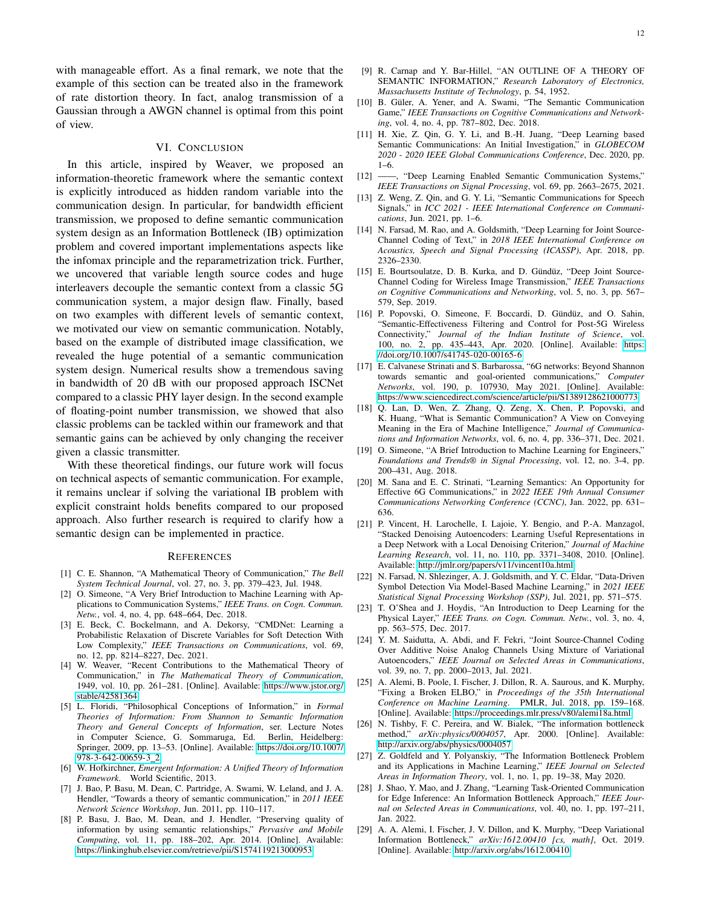with manageable effort. As a final remark, we note that the example of this section can be treated also in the framework of rate distortion theory. In fact, analog transmission of a Gaussian through a AWGN channel is optimal from this point of view.

#### VI. CONCLUSION

<span id="page-11-18"></span>In this article, inspired by Weaver, we proposed an information-theoretic framework where the semantic context is explicitly introduced as hidden random variable into the communication design. In particular, for bandwidth efficient transmission, we proposed to define semantic communication system design as an Information Bottleneck (IB) optimization problem and covered important implementations aspects like the infomax principle and the reparametrization trick. Further, we uncovered that variable length source codes and huge interleavers decouple the semantic context from a classic 5G communication system, a major design flaw. Finally, based on two examples with different levels of semantic context, we motivated our view on semantic communication. Notably, based on the example of distributed image classification, we revealed the huge potential of a semantic communication system design. Numerical results show a tremendous saving in bandwidth of 20 dB with our proposed approach ISCNet compared to a classic PHY layer design. In the second example of floating-point number transmission, we showed that also classic problems can be tackled within our framework and that semantic gains can be achieved by only changing the receiver given a classic transmitter.

With these theoretical findings, our future work will focus on technical aspects of semantic communication. For example, it remains unclear if solving the variational IB problem with explicit constraint holds benefits compared to our proposed approach. Also further research is required to clarify how a semantic design can be implemented in practice.

#### **REFERENCES**

- <span id="page-11-0"></span>[1] C. E. Shannon, "A Mathematical Theory of Communication," *The Bell System Technical Journal*, vol. 27, no. 3, pp. 379–423, Jul. 1948.
- <span id="page-11-1"></span>[2] O. Simeone, "A Very Brief Introduction to Machine Learning with Applications to Communication Systems," *IEEE Trans. on Cogn. Commun. Netw.*, vol. 4, no. 4, pp. 648–664, Dec. 2018.
- <span id="page-11-2"></span>[3] E. Beck, C. Bockelmann, and A. Dekorsy, "CMDNet: Learning a Probabilistic Relaxation of Discrete Variables for Soft Detection With Low Complexity," *IEEE Transactions on Communications*, vol. 69, no. 12, pp. 8214–8227, Dec. 2021.
- <span id="page-11-3"></span>[4] W. Weaver, "Recent Contributions to the Mathematical Theory of Communication," in *The Mathematical Theory of Communication*, 1949, vol. 10, pp. 261–281. [Online]. Available: [https://www.jstor.org/](https://www.jstor.org/stable/42581364) [stable/42581364](https://www.jstor.org/stable/42581364)
- <span id="page-11-4"></span>[5] L. Floridi, "Philosophical Conceptions of Information," in *Formal Theories of Information: From Shannon to Semantic Information Theory and General Concepts of Information*, ser. Lecture Notes in Computer Science, G. Sommaruga, Ed. Berlin, Heidelberg: Springer, 2009, pp. 13–53. [Online]. Available: [https://doi.org/10.1007/](https://doi.org/10.1007/978-3-642-00659-3_2) [978-3-642-00659-3](https://doi.org/10.1007/978-3-642-00659-3_2) 2
- <span id="page-11-5"></span>[6] W. Hofkirchner, *Emergent Information: A Unified Theory of Information Framework*. World Scientific, 2013.
- <span id="page-11-6"></span>[7] J. Bao, P. Basu, M. Dean, C. Partridge, A. Swami, W. Leland, and J. A. Hendler, "Towards a theory of semantic communication," in *2011 IEEE Network Science Workshop*, Jun. 2011, pp. 110–117.
- <span id="page-11-7"></span>[8] P. Basu, J. Bao, M. Dean, and J. Hendler, "Preserving quality of information by using semantic relationships," *Pervasive and Mobile Computing*, vol. 11, pp. 188–202, Apr. 2014. [Online]. Available: <https://linkinghub.elsevier.com/retrieve/pii/S1574119213000953>
- <span id="page-11-8"></span>[9] R. Carnap and Y. Bar-Hillel, "AN OUTLINE OF A THEORY OF SEMANTIC INFORMATION," *Research Laboratory of Electronics, Massachusetts Institute of Technology*, p. 54, 1952.
- <span id="page-11-9"></span>[10] B. Güler, A. Yener, and A. Swami, "The Semantic Communication Game," *IEEE Transactions on Cognitive Communications and Networking*, vol. 4, no. 4, pp. 787–802, Dec. 2018.
- <span id="page-11-10"></span>[11] H. Xie, Z. Qin, G. Y. Li, and B.-H. Juang, "Deep Learning based Semantic Communications: An Initial Investigation," in *GLOBECOM 2020 - 2020 IEEE Global Communications Conference*, Dec. 2020, pp. 1–6.
- <span id="page-11-11"></span>[12] ——, "Deep Learning Enabled Semantic Communication Systems," *IEEE Transactions on Signal Processing*, vol. 69, pp. 2663–2675, 2021.
- <span id="page-11-12"></span>[13] Z. Weng, Z. Qin, and G. Y. Li, "Semantic Communications for Speech Signals," in *ICC 2021 - IEEE International Conference on Communications*, Jun. 2021, pp. 1–6.
- <span id="page-11-13"></span>[14] N. Farsad, M. Rao, and A. Goldsmith, "Deep Learning for Joint Source-Channel Coding of Text," in *2018 IEEE International Conference on Acoustics, Speech and Signal Processing (ICASSP)*, Apr. 2018, pp. 2326–2330.
- <span id="page-11-14"></span>[15] E. Bourtsoulatze, D. B. Kurka, and D. Gündüz, "Deep Joint Source-Channel Coding for Wireless Image Transmission," *IEEE Transactions on Cognitive Communications and Networking*, vol. 5, no. 3, pp. 567– 579, Sep. 2019.
- <span id="page-11-15"></span>[16] P. Popovski, O. Simeone, F. Boccardi, D. Gündüz, and O. Sahin, "Semantic-Effectiveness Filtering and Control for Post-5G Wireless Connectivity," *Journal of the Indian Institute of Science*, vol. 100, no. 2, pp. 435–443, Apr. 2020. [Online]. Available: [https:](https://doi.org/10.1007/s41745-020-00165-6) [//doi.org/10.1007/s41745-020-00165-6](https://doi.org/10.1007/s41745-020-00165-6)
- <span id="page-11-16"></span>[17] E. Calvanese Strinati and S. Barbarossa, "6G networks: Beyond Shannon towards semantic and goal-oriented communications," *Computer Networks*, vol. 190, p. 107930, May 2021. [Online]. Available: <https://www.sciencedirect.com/science/article/pii/S1389128621000773>
- <span id="page-11-17"></span>[18] Q. Lan, D. Wen, Z. Zhang, Q. Zeng, X. Chen, P. Popovski, and K. Huang, "What is Semantic Communication? A View on Conveying Meaning in the Era of Machine Intelligence," *Journal of Communications and Information Networks*, vol. 6, no. 4, pp. 336–371, Dec. 2021.
- <span id="page-11-19"></span>[19] O. Simeone, "A Brief Introduction to Machine Learning for Engineers," *Foundations and Trends® in Signal Processing*, vol. 12, no. 3-4, pp. 200–431, Aug. 2018.
- <span id="page-11-20"></span>[20] M. Sana and E. C. Strinati, "Learning Semantics: An Opportunity for Effective 6G Communications," in *2022 IEEE 19th Annual Consumer Communications Networking Conference (CCNC)*, Jan. 2022, pp. 631– 636.
- <span id="page-11-21"></span>[21] P. Vincent, H. Larochelle, I. Lajoie, Y. Bengio, and P.-A. Manzagol, "Stacked Denoising Autoencoders: Learning Useful Representations in a Deep Network with a Local Denoising Criterion," *Journal of Machine Learning Research*, vol. 11, no. 110, pp. 3371–3408, 2010. [Online]. Available:<http://jmlr.org/papers/v11/vincent10a.html>
- <span id="page-11-22"></span>[22] N. Farsad, N. Shlezinger, A. J. Goldsmith, and Y. C. Eldar, "Data-Driven Symbol Detection Via Model-Based Machine Learning," in *2021 IEEE Statistical Signal Processing Workshop (SSP)*, Jul. 2021, pp. 571–575.
- <span id="page-11-23"></span>[23] T. O'Shea and J. Hoydis, "An Introduction to Deep Learning for the Physical Layer," *IEEE Trans. on Cogn. Commun. Netw.*, vol. 3, no. 4, pp. 563–575, Dec. 2017.
- <span id="page-11-24"></span>[24] Y. M. Saidutta, A. Abdi, and F. Fekri, "Joint Source-Channel Coding Over Additive Noise Analog Channels Using Mixture of Variational Autoencoders," *IEEE Journal on Selected Areas in Communications*, vol. 39, no. 7, pp. 2000–2013, Jul. 2021.
- <span id="page-11-25"></span>[25] A. Alemi, B. Poole, I. Fischer, J. Dillon, R. A. Saurous, and K. Murphy, "Fixing a Broken ELBO," in *Proceedings of the 35th International Conference on Machine Learning*. PMLR, Jul. 2018, pp. 159–168. [Online]. Available:<https://proceedings.mlr.press/v80/alemi18a.html>
- <span id="page-11-26"></span>[26] N. Tishby, F. C. Pereira, and W. Bialek, "The information bottleneck method," *arXiv:physics/0004057*, Apr. 2000. [Online]. Available: <http://arxiv.org/abs/physics/0004057>
- <span id="page-11-27"></span>[27] Z. Goldfeld and Y. Polyanskiy, "The Information Bottleneck Problem and its Applications in Machine Learning," *IEEE Journal on Selected Areas in Information Theory*, vol. 1, no. 1, pp. 19–38, May 2020.
- <span id="page-11-28"></span>[28] J. Shao, Y. Mao, and J. Zhang, "Learning Task-Oriented Communication for Edge Inference: An Information Bottleneck Approach," *IEEE Journal on Selected Areas in Communications*, vol. 40, no. 1, pp. 197–211, Jan. 2022.
- <span id="page-11-29"></span>[29] A. A. Alemi, I. Fischer, J. V. Dillon, and K. Murphy, "Deep Variational Information Bottleneck," *arXiv:1612.00410 [cs, math]*, Oct. 2019. [Online]. Available:<http://arxiv.org/abs/1612.00410>